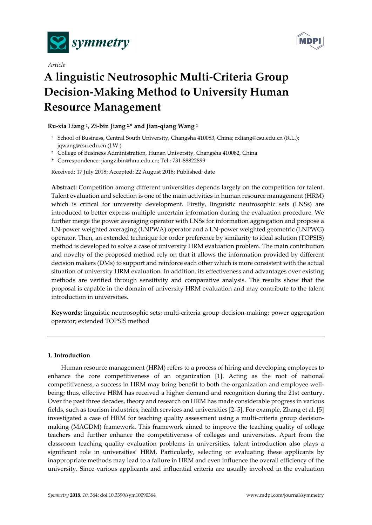

*Article* 



# **A linguistic Neutrosophic Multi-Criteria Group Decision-Making Method to University Human Resource Management**

# **Ru-xia Liang 1, Zi-bin Jiang 2,\* and Jian-qiang Wang 1**

- 1 School of Business, Central South University, Changsha 410083, China; rxliang@csu.edu.cn (R.L.); jqwang@csu.edu.cn (J.W.)
- <sup>2</sup> College of Business Administration, Hunan University, Changsha 410082, China
- **\*** Correspondence: jiangzibin@hnu.edu.cn; Tel.: 731-88822899

Received: 17 July 2018; Accepted: 22 August 2018; Published: date

**Abstract:** Competition among different universities depends largely on the competition for talent. Talent evaluation and selection is one of the main activities in human resource management (HRM) which is critical for university development. Firstly, linguistic neutrosophic sets (LNSs) are introduced to better express multiple uncertain information during the evaluation procedure. We further merge the power averaging operator with LNSs for information aggregation and propose a LN-power weighted averaging (LNPWA) operator and a LN-power weighted geometric (LNPWG) operator. Then, an extended technique for order preference by similarity to ideal solution (TOPSIS) method is developed to solve a case of university HRM evaluation problem. The main contribution and novelty of the proposed method rely on that it allows the information provided by different decision makers (DMs) to support and reinforce each other which is more consistent with the actual situation of university HRM evaluation. In addition, its effectiveness and advantages over existing methods are verified through sensitivity and comparative analysis. The results show that the proposal is capable in the domain of university HRM evaluation and may contribute to the talent introduction in universities.

**Keywords:** linguistic neutrosophic sets; multi-criteria group decision-making; power aggregation operator; extended TOPSIS method

## **1. Introduction**

Human resource management (HRM) refers to a process of hiring and developing employees to enhance the core competitiveness of an organization [1]. Acting as the root of national competitiveness, a success in HRM may bring benefit to both the organization and employee wellbeing; thus, effective HRM has received a higher demand and recognition during the 21st century. Over the past three decades, theory and research on HRM has made considerable progress in various fields, such as tourism industries, health services and universities [2–5]. For example, Zhang et al. [5] investigated a case of HRM for teaching quality assessment using a multi-criteria group decisionmaking (MAGDM) framework. This framework aimed to improve the teaching quality of college teachers and further enhance the competitiveness of colleges and universities. Apart from the classroom teaching quality evaluation problems in universities, talent introduction also plays a significant role in universities' HRM. Particularly, selecting or evaluating these applicants by inappropriate methods may lead to a failure in HRM and even influence the overall efficiency of the university. Since various applicants and influential criteria are usually involved in the evaluation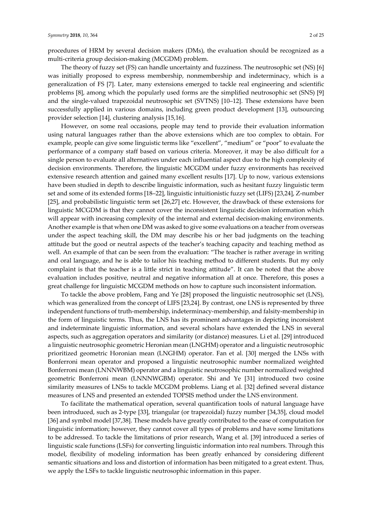procedures of HRM by several decision makers (DMs), the evaluation should be recognized as a multi-criteria group decision-making (MCGDM) problem.

The theory of fuzzy set (FS) can handle uncertainty and fuzziness. The neutrosophic set (NS) [6] was initially proposed to express membership, nonmembership and indeterminacy, which is a generalization of FS [7]. Later, many extensions emerged to tackle real engineering and scientific problems [8], among which the popularly used forms are the simplified neutrosophic set (SNS) [9] and the single-valued trapezoidal neutrosophic set (SVTNS) [10–12]. These extensions have been successfully applied in various domains, including green product development [13], outsourcing provider selection [14], clustering analysis [15,16].

However, on some real occasions, people may tend to provide their evaluation information using natural languages rather than the above extensions which are too complex to obtain. For example, people can give some linguistic terms like "excellent", "medium" or "poor" to evaluate the performance of a company staff based on various criteria. Moreover, it may be also difficult for a single person to evaluate all alternatives under each influential aspect due to the high complexity of decision environments. Therefore, the linguistic MCGDM under fuzzy environments has received extensive research attention and gained many excellent results [17]. Up to now, various extensions have been studied in depth to describe linguistic information, such as hesitant fuzzy linguistic term set and some of its extended forms [18–22], linguistic intuitionistic fuzzy set (LIFS) [23,24], Z-number [25], and probabilistic linguistic term set [26,27] etc. However, the drawback of these extensions for linguistic MCGDM is that they cannot cover the inconsistent linguistic decision information which will appear with increasing complexity of the internal and external decision-making environments. Another example is that when one DM was asked to give some evaluations on a teacher from overseas under the aspect teaching skill, the DM may describe his or her bad judgments on the teaching attitude but the good or neutral aspects of the teacher's teaching capacity and teaching method as well. An example of that can be seen from the evaluation: "The teacher is rather average in writing and oral language, and he is able to tailor his teaching method to different students. But my only complaint is that the teacher is a little strict in teaching attitude". It can be noted that the above evaluation includes positive, neutral and negative information all at once. Therefore, this poses a great challenge for linguistic MCGDM methods on how to capture such inconsistent information.

To tackle the above problem, Fang and Ye [28] proposed the linguistic neutrosophic set (LNS), which was generalized from the concept of LIFS [23,24]. By contrast, one LNS is represented by three independent functions of truth-membership, indeterminacy-membership, and falsity-membership in the form of linguistic terms. Thus, the LNS has its prominent advantages in depicting inconsistent and indeterminate linguistic information, and several scholars have extended the LNS in several aspects, such as aggregation operators and similarity (or distance) measures. Li et al. [29] introduced a linguistic neutrosophic geometric Heronian mean (LNGHM) operator and a linguistic neutrosophic prioritized geometric Horonian mean (LNGHM) operator. Fan et al. [30] merged the LNSs with Bonferroni mean operator and proposed a linguistic neutrosophic number normalized weighted Bonferroni mean (LNNNWBM) operator and a linguistic neutrosophic number normalized weighted geometric Bonferroni mean (LNNNWGBM) operator. Shi and Ye [31] introduced two cosine similarity measures of LNSs to tackle MCGDM problems. Liang et al. [32] defined several distance measures of LNS and presented an extended TOPSIS method under the LNS environment.

To facilitate the mathematical operation, several quantification tools of natural language have been introduced, such as 2-type [33], triangular (or trapezoidal) fuzzy number [34,35], cloud model [36] and symbol model [37,38]. These models have greatly contributed to the ease of computation for linguistic information; however, they cannot cover all types of problems and have some limitations to be addressed. To tackle the limitations of prior research, Wang et al. [39] introduced a series of linguistic scale functions (LSFs) for converting linguistic information into real numbers. Through this model, flexibility of modeling information has been greatly enhanced by considering different semantic situations and loss and distortion of information has been mitigated to a great extent. Thus, we apply the LSFs to tackle linguistic neutrosophic information in this paper.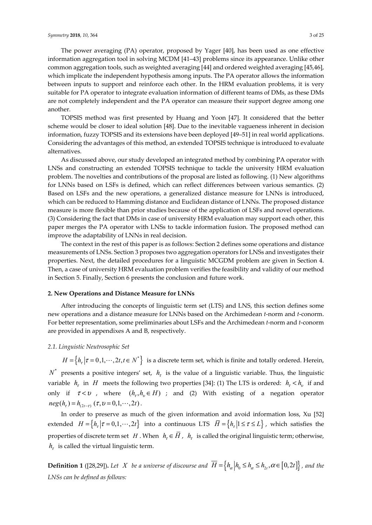The power averaging (PA) operator, proposed by Yager [40], has been used as one effective information aggregation tool in solving MCDM [41–43] problems since its appearance. Unlike other common aggregation tools, such as weighted averaging [44] and ordered weighted averaging [45,46], which implicate the independent hypothesis among inputs. The PA operator allows the information between inputs to support and reinforce each other. In the HRM evaluation problems, it is very suitable for PA operator to integrate evaluation information of different teams of DMs, as these DMs are not completely independent and the PA operator can measure their support degree among one another.

TOPSIS method was first presented by Huang and Yoon [47]. It considered that the better scheme would be closer to ideal solution [48]. Due to the inevitable vagueness inherent in decision information, fuzzy TOPSIS and its extensions have been deployed [49–51] in real world applications. Considering the advantages of this method, an extended TOPSIS technique is introduced to evaluate alternatives.

As discussed above, our study developed an integrated method by combining PA operator with LNSs and constructing an extended TOPSIS technique to tackle the university HRM evaluation problem. The novelties and contributions of the proposal are listed as following. (1) New algorithms for LNNs based on LSFs is defined, which can reflect differences between various semantics. (2) Based on LSFs and the new operations, a generalized distance measure for LNNs is introduced, which can be reduced to Hamming distance and Euclidean distance of LNNs. The proposed distance measure is more flexible than prior studies because of the application of LSFs and novel operations. (3) Considering the fact that DMs in case of university HRM evaluation may support each other, this paper merges the PA operator with LNSs to tackle information fusion. The proposed method can improve the adaptability of LNNs in real decision.

The context in the rest of this paper is as follows: Section 2 defines some operations and distance measurements of LNSs. Section 3 proposes two aggregation operators for LNSs and investigates their properties. Next, the detailed procedures for a linguistic MCGDM problem are given in Section 4. Then, a case of university HRM evaluation problem verifies the feasibility and validity of our method in Section 5. Finally, Section 6 presents the conclusion and future work.

#### **2. New Operations and Distance Measure for LNNs**

After introducing the concepts of linguistic term set (LTS) and LNS, this section defines some new operations and a distance measure for LNNs based on the Archimedean *t*-norm and *t*-conorm. For better representation, some preliminaries about LSFs and the Archimedean *t*-norm and *t*-conorm are provided in appendixes A and B, respectively.

## *2.1. Linguistic Neutrosophic Set*

 $H = \left\{ h_r | \tau = 0, 1, \dots, 2t, t \in N^* \right\}$  is a discrete term set, which is finite and totally ordered. Herein,

 $N^*$  presents a positive integers' set,  $h<sub>r</sub>$  is the value of a linguistic variable. Thus, the linguistic variable  $h_t$  in *H* meets the following two properties [34]: (1) The LTS is ordered:  $h_t < h_v$  if and only if  $\tau < v$ , where  $(h_{\tau}, h_{v} \in H)$ ; and (2) With existing of a negation operator  $neg(h_r) = h_{(2r-r)}(\tau, v = 0, 1, \dots, 2t)$ .

In order to preserve as much of the given information and avoid information loss, Xu [52] extended  $H = \{ h_r | \tau = 0, 1, \dots, 2t \}$  into a continuous LTS  $\overline{H} = \{ h_r | 1 \leq \tau \leq L \}$ , which satisfies the properties of discrete term set *H*. When  $h_t \in \overline{H}$ ,  $h_t$  is called the original linguistic term; otherwise,  $h_{\tau}$  is called the virtual linguistic term.

**Definition 1** ([28,29]). Let *X* be a universe of discourse and  $\overline{H} = \left\{ h_{\alpha} | h_{0} \le h_{\alpha} \le h_{2}$ ,  $\alpha \in [0, 2t] \right\}$ , and the *LNSs can be defined as follows:*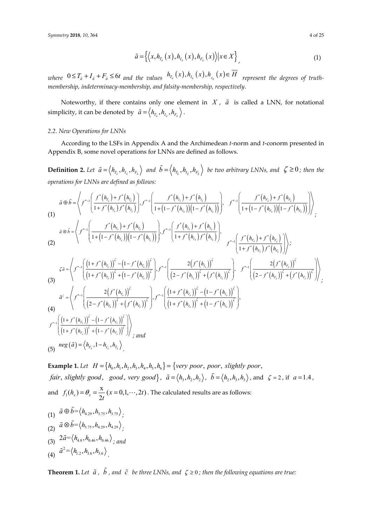$$
\tilde{a} = \left\{ \left\langle x, h_{T_a}(x), h_{I_a}(x), h_{F_a}(x) \right\rangle | x \in X \right\},\tag{1}
$$

 $\mathcal{L}_{W}$   $0 \leq T_{\tilde{a}} + I_{\tilde{a}} + F_{\tilde{a}} \leq 6t$  and the values  $h_{T_{\tilde{a}}}(x), h_{T_{\tilde{a}}}(x), h_{T_{\tilde{a}}}(x) \in \overline{H}$  represent the degrees of truth*membership, indeterminacy-membership, and falsity-membership, respectively.* 

Noteworthy, if there contains only one element in  $X$ ,  $\tilde{a}$  is called a LNN, for notational simplicity, it can be denoted by  $\tilde{a} = \langle h_{T_a}, h_{I_a}, h_{F_a} \rangle$ .

## *2.2. New Operations for LNNs*

According to the LSFs in Appendix A and the Archimedean *t*-norm and *t*-conorm presented in Appendix B, some novel operations for LNNs are defined as follows.

**Definition 2.** Let  $\tilde{a} = \langle h_{T_a}, h_{I_a}, h_{F_a} \rangle$  and  $\tilde{b} = \langle h_{T_b}, h_{I_b}, h_{F_b} \rangle$  be two arbitrary LNNs, and  $\zeta \ge 0$ ; then the *operations for LNNs are defined as follows:* 

$$
\tilde{a} \oplus \tilde{b} = \left\langle f^{*-1} \left( \frac{f^{*}(h_{r_{\delta}}) + f^{*}(h_{r_{\delta}})}{1 + f^{*}(h_{r_{\delta}}) f^{*}(h_{r_{\delta}})} \right), f^{*-1} \left( \frac{f^{*}(h_{r_{\delta}}) + f^{*}(h_{r_{\delta}})}{1 + (1 - f^{*}(h_{r_{\delta}})) (1 - f^{*}(h_{r_{\delta}}))} \right), f^{*-1} \left( \frac{f^{*}(h_{r_{\delta}}) + f^{*}(h_{r_{\delta}})}{1 + (1 - f^{*}(h_{r_{\delta}})) (1 - f^{*}(h_{r_{\delta}}))} \right) \right\rangle
$$
\n
$$
\tilde{a} \otimes \tilde{b} = \left\langle f^{*-1} \left( \frac{f^{*}(h_{r_{\delta}}) + f^{*}(h_{r_{\delta}})}{1 + (1 - f^{*}(h_{r_{\delta}})) (1 - f^{*}(h_{r_{\delta}}))} \right), f^{*-1} \left( \frac{f^{*}(h_{r_{\delta}}) + f^{*}(h_{r_{\delta}})}{1 + f^{*}(h_{r_{\delta}}) f^{*}(h_{r_{\delta}})} \right), f^{*-1} \left( \frac{f^{*}(h_{r_{\delta}}) + f^{*}(h_{r_{\delta}})}{1 + f^{*}(h_{r_{\delta}}) f^{*}(h_{r_{\delta}})} \right) \right\rangle;
$$
\n
$$
\zeta \tilde{a} = \left\langle f^{*-1} \left( \frac{(1 + f^{*}(h_{r_{\delta}}))^{5} - (1 - f^{*}(h_{r_{\delta}}))^{5}}{(1 + f^{*}(h_{r_{\delta}}))^{5}} \right), f^{*-1} \left( \frac{2(f^{*}(h_{r_{\delta}}))^{5}}{(2 - f^{*}(h_{r_{\delta}}))^{5} + (f^{*}(h_{r_{\delta}}))^{5}} \right), f^{*-1} \left( \frac{2(f^{*}(h_{r_{\delta}}))^{5}}{(2 - f^{*}(h_{r_{\delta}}))^{5} + (f^{*}(h_{r_{\delta}}))^{5}} \right) \right\rangle;
$$
\n
$$
\tilde{a}^{*} = \left\langle f^{*-1} \left( \frac{2(f^{*}(h_{r_{\delta}}))^{5}}{(2 - f^{*}(h_{r_{
$$

**Example 1.** Let  $H = \{h_0, h_1, h_2, h_3, h_4, h_5, h_6\} = \{very\ poor, poor, slightly\ poor,$ *fair, slightly good, good, very good*},  $\tilde{a} = \langle h_1, h_2, h_2 \rangle$ ,  $\tilde{b} = \langle h_1, h_3, h_4 \rangle$ , and  $\zeta = 2$ , if  $a = 1.4$ , and  $f_1(h_x) = \theta_x = \frac{x}{2t} (x = 0, 1, \dots, 2t)$ . The calculated results are as follows:

(1) 
$$
\tilde{a} \oplus \tilde{b} = \langle h_{4,29}, h_{3,75}, h_{3,75} \rangle
$$
  
\n(2)  $\tilde{a} \otimes \tilde{b} = \langle h_{3,75}, h_{4,29}, h_{4,29} \rangle$   
\n(3)  $2\tilde{a} = \langle h_{4,8}, h_{0,46}, h_{0,46} \rangle$ ; and  
\n(4)  $\tilde{a}^2 = \langle h_{1,2}, h_{3,6}, h_{3,6} \rangle$ 

**Theorem 1.** Let  $\tilde{a}$ ,  $\tilde{b}$ , and  $\tilde{c}$  be three LNNs, and  $\zeta \ge 0$ ; then the following equations are true: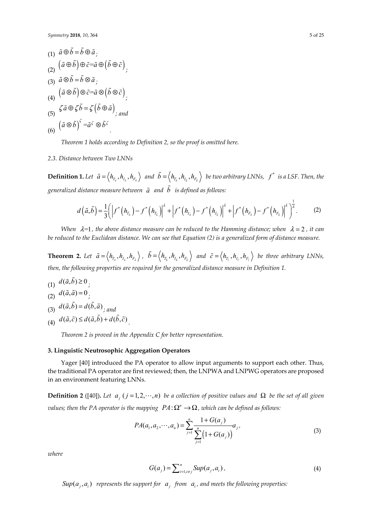(1) 
$$
\tilde{a} \oplus \tilde{b} = \tilde{b} \oplus \tilde{a}
$$
;  
\n(2)  $(\tilde{a} \oplus \tilde{b}) \oplus \tilde{c} = \tilde{a} \oplus (\tilde{b} \oplus \tilde{c})$ ,  
\n(3)  $\tilde{a} \otimes \tilde{b} = \tilde{b} \otimes \tilde{a}$ ;  
\n(4)  $(\tilde{a} \otimes \tilde{b}) \otimes \tilde{c} = \tilde{a} \otimes (\tilde{b} \otimes \tilde{c})$ ;  
\n(5)  $\zeta \tilde{a} \oplus \zeta \tilde{b} = \zeta (\tilde{b} \oplus \tilde{a})$ ;  
\n(6)  $(\tilde{a} \otimes \tilde{b})^{\zeta} = \tilde{a}^{\zeta} \otimes \tilde{b}^{\zeta}$ 

*Theorem 1 holds according to Definition 2, so the proof is omitted here.* 

*2.3. Distance between Two LNNs* 

**Definition 1.** Let  $\tilde{a} = \langle h_{T_{\tilde{a}}} , h_{I_{\tilde{a}}} , h_{F_{\tilde{a}}} \rangle$  and  $\tilde{b} = \langle h_{T_{\tilde{b}}} , h_{I_{\tilde{b}}} , h_{F_{\tilde{b}}} \rangle$  be two arbitrary LNNs,  $f^*$  is a LSF. Then, the *generalized distance measure between a and b is defined as follows:* 

$$
d(\tilde{a},\tilde{b})=\frac{1}{3}\bigg(\Big|f^*\big(h_{T_a}\big)-f^*\big(h_{T_b}\big)\Big|^2+\Big|f^*\big(h_{I_a}\big)-f^*\big(h_{I_b}\big)\Big|^2+\Big|f^*\big(h_{F_a}\big)-f^*\big(h_{F_b}\big)\Big|^2\bigg)^{\frac{1}{2}}.
$$
 (2)

*When*  $\lambda=1$ , the above distance measure can be reduced to the Hamming distance; when  $\lambda=2$ , it can be reduced to the Euclidean distance. We can see that Equation (2) is a generalized form of distance measure.

**Theorem 2.** Let  $\tilde{a} = \langle h_{T_a}, h_{I_{\tilde{a}}}, h_{F_{\tilde{a}}} \rangle$ ,  $\tilde{b} = \langle h_{T_{\tilde{b}}}, h_{I_{\tilde{b}}}, h_{F_{\tilde{b}}} \rangle$  and  $\tilde{c} = \langle h_{T_{\tilde{c}}}, h_{I_{\tilde{c}}}, h_{F_{\tilde{c}}} \rangle$  be three arbitrary LNNs, *then, the following properties are required for the generalized distance measure in Definition 1.* 

(1)  $d(\tilde{a}, \tilde{b}) \ge 0$ .

$$
\overline{d(\tilde{a},\tilde{a})}=0
$$

$$
(3) d(\tilde{a}, \tilde{b}) = d(\tilde{b}, \tilde{a})_{\tilde{a}}
$$

(4)  $d(\tilde{a}, \tilde{c}) \leq d(\tilde{a}, \tilde{b}) + d(\tilde{b}, \tilde{c})$ .

*Theorem 2 is proved in the Appendix C for better representation.* 

## **3. Linguistic Neutrosophic Aggregation Operators**

Yager [40] introduced the PA operator to allow input arguments to support each other. Thus, the traditional PA operator are first reviewed; then, the LNPWA and LNPWG operators are proposed in an environment featuring LNNs.

**Definition 2** ([40]). Let  $a_j$  ( $j = 1, 2, \dots, n$ ) be a collection of positive values and  $\Omega$  be the set of all given *values; then the PA operator is the mapping*  $PA: \Omega^n \to \Omega$ *, which can be defined as follows:* 

$$
PA(a_1, a_2, \cdots, a_n) = \sum_{j=1}^n \frac{1 + G(a_j)}{\sum_{j=1}^n (1 + G(a_j))} a_j,
$$
\n(3)

*where* 

$$
G(a_j) = \sum_{i=1, i \neq j}^{n} \text{Sup}(a_j, a_i), \tag{4}
$$

 $Sup(a_i, a_i)$  represents the support for  $a_i$  from  $a_i$ , and meets the following properties: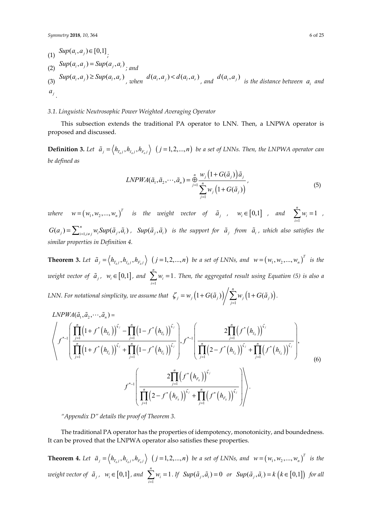\n- (1) 
$$
Sup(a_i, a_j) \in [0, 1]
$$
\n- (2)  $Sup(a_i, a_j) = Sup(a_j, a_i)$
\n- (3)  $Sup(a_i, a_j) \geq Sup(a_i, a_r)$ , when  $d(a_i, a_j) < d(a_i, a_r)$ , and  $d(a_i, a_j)$  is the distance between  $a_i$  and  $a_j$ .
\n

#### *3.1. Linguistic Neutrosophic Power Weighted Averaging Operator*

This subsection extends the traditional PA operator to LNN. Then, a LNPWA operator is proposed and discussed.

**Definition 3.** Let  $\tilde{a}_j = \langle h_{T_{aj}}, h_{I_{aj}}, h_{F_{aj}} \rangle$   $(j = 1, 2, ..., n)$  be a set of LNNs. Then, the LNPWA operator can *be defined as* 

$$
LNPWA(\tilde{a}_1, \tilde{a}_2, \cdots, \tilde{a}_n) = \bigoplus_{j=1}^n \frac{w_j\left(1 + G(\tilde{a}_j)\right)\tilde{a}_j}{\sum_{j=1}^n w_j\left(1 + G(\tilde{a}_j)\right)},
$$
\n<sup>(5)</sup>

1

*where*  $w = (w_1, w_2, ..., w_n)^T$  *is the weight vector of*  $\tilde{a}_j$  *,*  $w_i \in [0,1]$  *, and*  $\sum_{i=1}^n a_i$  $\sum_{i=1}^{n} w_i = 1$  $\sum_{i=1}^{N_i}$ *w*  $\sum_{i=1}^{\infty} w_i = 1$ ,  $G(a_j) = \sum_{i=1,i\neq j}^{n} w_i \text{Sup}(\tilde{a}_j, \tilde{a}_i)$ ,  $\text{Sup}(\tilde{a}_j, \tilde{a}_i)$  is the support for  $\tilde{a}_j$  from  $\tilde{a}_i$ , which also satisfies the *similar properties in Definition 4.* 

**Theorem 3.** Let  $\tilde{a}_j = \langle h_{T_{a,j}}, h_{I_{a,j}}, h_{F_{a,j}} \rangle$   $(j = 1, 2, ..., n)$  be a set of LNNs, and  $w = (w_1, w_2, ..., w_n)^T$  is the *weight vector of*  $\tilde{a}_j$ ,  $w_i \in [0,1]$ , and  $\sum_{i=1}$  $\sum_{i=1}^{n} w_i = 1$  $\sum_{i=1}^{N_i}$ *w*  $\sum_{i=1}$   $w_i = 1$ . Then, the aggregated result using Equation (5) is also a LNN. For notational simplicity, we assume that  $|\zeta_j = w_j(1+G(\tilde a_j))| \sum w_j(1+G(\tilde a_j))|$  $\left(1+G(\tilde{a}_{i})\right)\bigg/\sum_{i=1}^{n}w_{i}\left(1+G(\tilde{a}_{i})\right)$  $\frac{1}{j} - w_j (1 + O(u_j))$   $\frac{1}{j}$   $\frac{1}{j}$   $\frac{1}{j}$   $\frac{1}{j}$   $\frac{1}{j}$   $\frac{1}{j}$   $\frac{1}{j}$  $\zeta_i = w_i (1+G(\tilde{a}_i))/\sum w_i (1+G(\tilde{a}_i))$  $= w_j \left( 1 + G(\tilde{a}_j) \right) \sum_{j=1} w_j \left( 1 + G(\tilde{a}_j) \right).$ 

$$
LNPWA(\tilde{a}_{1}, \tilde{a}_{2}, \cdots, \tilde{a}_{n}) = \sqrt{\frac{\prod_{j=1}^{n} (1 + f^{*}(h_{T_{\tilde{a}}}))^{\zeta_{j}} - \prod_{j=1}^{n} (1 - f^{*}(h_{T_{\tilde{a}}}))^{\zeta_{j}}}{\prod_{j=1}^{n} (1 + f^{*}(h_{T_{\tilde{a}}}))^{\zeta_{j}} + \prod_{j=1}^{n} (1 - f^{*}(h_{T_{\tilde{a}}}))^{\zeta_{j}}}}\Bigg), f^{*-1}\left(\frac{2\prod_{j=1}^{n} (f^{*}(h_{I_{\tilde{a}}}))^{\zeta_{j}}}{\prod_{j=1}^{n} (2 - f^{*}(h_{I_{\tilde{a}}}))^{\zeta_{j}} + \prod_{j=1}^{n} (f^{*}(h_{I_{\tilde{a}}}))^{\zeta_{j}}}\right),
$$
\n
$$
f^{*-1}\left(\frac{2\prod_{j=1}^{n} (f^{*}(h_{F_{\tilde{a}}}))^{\zeta_{j}}}{\prod_{j=1}^{n} (2 - f^{*}(h_{F_{\tilde{a}}}))^{\zeta_{j}} + \prod_{j=1}^{n} (f^{*}(h_{F_{\tilde{a}}}))^{\zeta_{j}}}\right)\right).
$$
\n(6)

*"Appendix D" details the proof of Theorem 3.* 

The traditional PA operator has the properties of idempotency, monotonicity, and boundedness. It can be proved that the LNPWA operator also satisfies these properties.

**Theorem 4.** Let  $\tilde{a}_j = \langle h_{T_{\tilde{a}j}}, h_{I_{\tilde{a}j}}, h_{F_{\tilde{a}j}} \rangle$   $(j = 1, 2, ..., n)$  be a set of LNNs, and  $w = (w_1, w_2, ..., w_n)^T$  is the *weight vector of*  $\tilde{a}_j$ ,  $w_i \in [0,1]$ , and  $\sum_{i=1}$  $\sum_{i=1}^{n} w_i = 1$  $\sum_{i=1}^{N_i}$ *w*  $\sum_{i=1} w_i = 1$ . If  $Sup(\tilde{a}_j, \tilde{a}_i) = 0$  or  $Sup(\tilde{a}_j, \tilde{a}_i) = k \left( k \in [0,1] \right)$  for all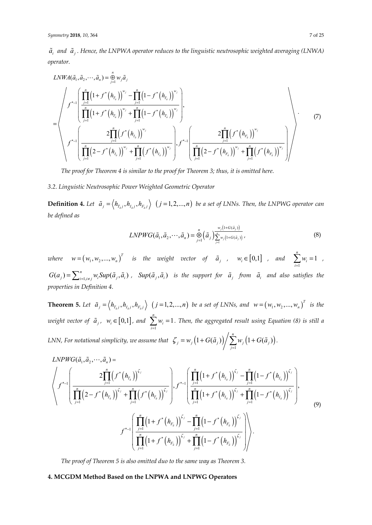$\tilde{a}_i$  and  $\tilde{a}_i$ . Hence, the LNPWA operator reduces to the linguistic neutrosophic weighted averaging (LNWA) *operator.* 

$$
LNWA(\tilde{a}_{1}, \tilde{a}_{2}, \cdots, \tilde{a}_{n}) = \bigoplus_{j=1}^{n} w_{j} \tilde{a}_{j}
$$
\n
$$
= \left\langle f^{*-1} \left( \prod_{j=1}^{n} (1 + f^{*}(h_{T_{a}}))^{w_{j}} - \prod_{j=1}^{n} (1 - f^{*}(h_{T_{a}}))^{w_{j}} \right) \right\rangle
$$
\n
$$
= \left\langle f^{*-1} \left( \prod_{j=1}^{n} (1 + f^{*}(h_{T_{a}}))^{w_{j}} + \prod_{j=1}^{n} (1 - f^{*}(h_{T_{a}}))^{w_{j}} \right) \right\rangle
$$
\n
$$
f^{*-1} \left( \frac{2 \prod_{j=1}^{n} (f^{*}(h_{I_{a}}))^{w_{j}}}{\prod_{j=1}^{n} (2 - f^{*}(h_{I_{a}}))^{w_{j}} + \prod_{j=1}^{n} (f^{*}(h_{I_{a}}))^{w_{j}}} \right) \cdot f^{*-1} \left( \frac{2 \prod_{j=1}^{n} (f^{*}(h_{F_{a}}))^{w_{j}}}{\prod_{j=1}^{n} (2 - f^{*}(h_{F_{a}}))^{w_{j}} + \prod_{j=1}^{n} (f^{*}(h_{F_{a}}))^{w_{j}}} \right) \right\rangle
$$
\n(7)

*The proof for Theorem 4 is similar to the proof for Theorem 3; thus, it is omitted here.* 

## *3.2. Linguistic Neutrosophic Power Weighted Geometric Operator*

**Definition 4.** Let  $\tilde{a}_j = \langle h_{T_{aj}}, h_{I_{aj}}, h_{F_{aj}} \rangle$   $(j = 1, 2, ..., n)$  be a set of LNNs. Then, the LNPWG operator can *be defined as* 

$$
LNPWG(\tilde{a}_1, \tilde{a}_2, \cdots, \tilde{a}_n) = \bigotimes_{j=1}^n (\tilde{a}_j) \sum_{j=1}^{\tilde{w}_j(1+G(\tilde{a}_j))} \tag{8}
$$

*where*  $w = (w_1, w_2, ..., w_n)^T$  *is the weight vector of*  $\tilde{a}_j$  *,*  $w_i \in [0,1]$  *, and*  $\sum_{i=1}^{n}$  $\sum_{i=1}^{n} w_i = 1$  $\sum_{i=1}^{\infty}$ <sup>*i*</sup><sup>*v*</sup><sub>*i*</sub> *w*  $\sum_{i=1}^{\infty} w_i = 1$ ,  $G(a_j) = \sum_{i=1,i\neq j}^{n} w_i \text{Sup}(\tilde{a}_j, \tilde{a}_i)$ ,  $\text{Sup}(\tilde{a}_j, \tilde{a}_i)$  is the support for  $\tilde{a}_j$  from  $\tilde{a}_i$  and also satisfies the *properties in Definition 4.* 

**Theorem 5.** Let  $\tilde{a}_j = \langle h_{T_{\tilde{a}}j}, h_{I_{\tilde{a}}j}, h_{F_{\tilde{a}}j} \rangle$   $(j = 1, 2, ..., n)$  be a set of LNNs, and  $w = (w_1, w_2, ..., w_n)^T$  is the *weight vector of*  $\tilde{a}_j$ ,  $w_i \in [0,1]$ , and  $\sum_{i=1}$  $\sum_{i=1}^{n} w_i = 1$  $\sum_{i=1}^{N_i}$ *w*  $\sum_{i=1} w_i = 1$ . Then, the aggregated result using Equation (8) is still a LNN, For notational simplicity, we assume that  $|\zeta_j = w_j(1+G(\tilde a_j))| \sum w_j(1+G(\tilde a_j))|$ 1  $\left(1+G(\tilde{a}_{i})\right)\bigg/\sum_{i=1}^{n}w_{i}\left(1+G(\tilde{a}_{i})\right)$  $\frac{1}{j} - w_j (1 + O(u_j))$   $\frac{1}{j}$   $\frac{1}{j}$   $\frac{1}{j}$   $\frac{1}{j}$   $\frac{1}{j}$   $\frac{1}{j}$   $\frac{1}{j}$  $\zeta_i = w_i (1+G(\tilde{a}_i))/\sum w_i (1+G(\tilde{a}_i))$  $= w_j \left( 1 + G(\tilde{a}_j) \right) / \sum_{j=1} w_j \left( 1 + G(\tilde{a}_j) \right).$ 

$$
LNPWG(\tilde{a}_{1}, \tilde{a}_{2}, \cdots, \tilde{a}_{n}) = \left\langle f^{*-1} \left( \frac{2 \prod_{j=1}^{n} (f^{*}(h_{T_{a}}))^{\zeta_{j}}}{\prod_{j=1}^{n} (2 - f^{*}(h_{T_{a}}))^{\zeta_{j}} + \prod_{j=1}^{n} (f^{*}(h_{T_{a}}))^{\zeta_{j}}} \right), f^{*-1} \left( \frac{\prod_{j=1}^{n} (1 + f^{*}(h_{I_{a}}))^{\zeta_{j}} - \prod_{j=1}^{n} (1 - f^{*}(h_{I_{a}}))^{\zeta_{j}}}{\prod_{j=1}^{n} (1 + f^{*}(h_{I_{a}}))^{\zeta_{j}} + \prod_{j=1}^{n} (1 - f^{*}(h_{I_{a}}))^{\zeta_{j}}} \right), \tag{9}
$$
\n
$$
f^{*-1} \left( \frac{\prod_{j=1}^{n} (1 + f^{*}(h_{F_{a}}))^{\zeta_{j}} - \prod_{j=1}^{n} (1 - f^{*}(h_{F_{a}}))^{\zeta_{j}}}{\prod_{j=1}^{n} (1 + f^{*}(h_{F_{a}}))^{\zeta_{j}} + \prod_{j=1}^{n} (1 - f^{*}(h_{F_{a}}))^{\zeta_{j}}} \right) \right\rangle.
$$

*The proof of Theorem 5 is also omitted duo to the same way as Theorem 3.* 

## **4. MCGDM Method Based on the LNPWA and LNPWG Operators**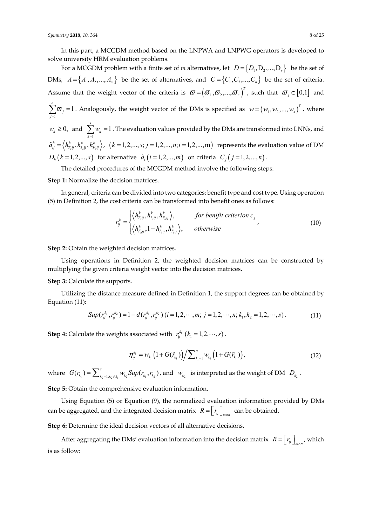In this part, a MCGDM method based on the LNPWA and LNPWG operators is developed to solve university HRM evaluation problems.

For a MCGDM problem with a finite set of *m* alternatives, let  $D = \{D_1, D_2, ..., D_s\}$  be the set of DMs,  $A = \{A_1, A_2, ..., A_m\}$  be the set of alternatives, and  $C = \{C_1, C_2, ..., C_n\}$  be the set of criteria. Assume that the weight vector of the criteria is  $\boldsymbol{\varpi} = (\boldsymbol{\varpi}_1, \boldsymbol{\varpi}_2, ..., \boldsymbol{\varpi}_n)^T$ , such that  $\boldsymbol{\varpi}_j \in [0,1]$  and 1  $\sum_{i=1}^{n} \overline{\omega}_{i} = 1$  $\sum_{j=1}^{\mathbf{w}}$  *j*  $\varpi$  $\sum_{j=1}^{n} \overline{\omega}_j = 1$ . Analogously, the weight vector of the DMs is specified as  $w = (w_1, w_2, ..., w_s)^T$ , where  $w_k \ge 0$ , and  $\sum_{k=1}$  $\sum_{k=1}^{s} w_k = 1$  $\sum_{k=1}^{\infty}$ <sup>*w*</sup><sub>k</sub> *w*  $\sum_{k=1} w_k = 1$  . The evaluation values provided by the DMs are transformed into LNNs, and  $\tilde{a}^k_{ij} = \langle h^k_{T_a ij}, h^k_{T_a ij}, h^k_{F_a ij} \rangle$ ,  $(k = 1, 2, ..., s; j = 1, 2, ..., n; i = 1, 2, ..., m)$  represents the evaluation value of DM  $D_k$   $(k = 1,2,...,s)$  for alternative  $\tilde{a}_i$   $(i = 1,2,...,m)$  on criteria  $C_j$   $(j = 1,2,...,n)$ .

The detailed procedures of the MCGDM method involve the following steps:

**Step 1:** Normalize the decision matrices.

In general, criteria can be divided into two categories: benefit type and cost type. Using operation (5) in Definition 2, the cost criteria can be transformed into benefit ones as follows:

$$
r_{ij}^k = \begin{cases} \left\langle h_{T_{aij}}^k, h_{T_{aij}}^k, h_{F_{aij}}^k \right\rangle, & \text{for benefit criterion } c_j \\ \left\langle h_{F_{aij}}^k, 1 - h_{T_{aij}}^k, h_{T_{aij}}^k \right\rangle, & \text{otherwise} \end{cases}
$$
(10)

**Step 2:** Obtain the weighted decision matrices.

Using operations in Definition 2, the weighted decision matrices can be constructed by multiplying the given criteria weight vector into the decision matrices.

**Step 3:** Calculate the supports.

Utilizing the distance measure defined in Definition 1, the support degrees can be obtained by Equation (11):

$$
Sup(r_{ij}^{k_1}, r_{ij}^{k_2}) = 1 - d(r_{ij}^{k_1}, r_{ij}^{k_2}) (i = 1, 2, \cdots, m; j = 1, 2, \cdots, n; k_1, k_2 = 1, 2, \cdots, s).
$$
\n(11)

**Step 4:** Calculate the weights associated with  $r_{ij}^{k_1}$  ( $k_1 = 1, 2, \dots, s$ ).

$$
\eta_{ij}^{k_1} = w_{k_1} \left( 1 + G(\tilde{r}_{k_1}) \right) \middle/ \sum_{k_1=1}^q w_{k_1} \left( 1 + G(\tilde{r}_{k_1}) \right), \tag{12}
$$

where  $G(r_{k_1}) = \sum_{k_2=l, k_2 \neq k_1}^{s} w_{k_2} \text{Sup}(r_{k_1}, r_{k_2})$ , and  $w_{k_2}$  is interpreted as the weight of DM  $D_{k_2}$ .

**Step 5:** Obtain the comprehensive evaluation information.

Using Equation (5) or Equation (9), the normalized evaluation information provided by DMs can be aggregated, and the integrated decision matrix  $R = \begin{bmatrix} r_{ij} \end{bmatrix}$  can be obtained.

Step 6: Determine the ideal decision vectors of all alternative decisions.

After aggregating the DMs' evaluation information into the decision matrix  $R = \begin{bmatrix} r_{ij} \end{bmatrix}$  which is as follow: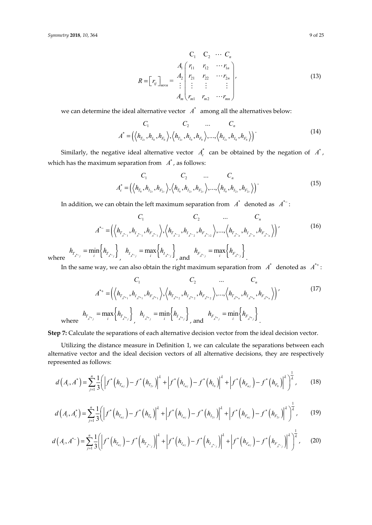$$
R = \begin{bmatrix} r_{ij} \end{bmatrix}_{m \times n} = \begin{bmatrix} 4 & 4 \ 4 & 4 \ 4 & 4 \ 4 & 4 \ 4 & 4 \ 4 & 4 \ 4 & 4 \ 4 & 4 \ 4 & 4 \ 4 & 4 \ 4 & 4 \ 4 & 4 \ 4 & 4 \ 4 & 4 \ 4 & 4 \ 4 & 4 \ 4 & 4 \ 4 & 4 \ 4 & 4 \ 4 & 4 \ 4 & 4 \ 4 & 4 \ 4 & 4 \ 4 & 4 \ 4 & 4 \ 4 & 4 \ 4 & 4 \ 4 & 4 \ 4 & 4 \ 4 & 4 \ 4 & 4 \ 4 & 4 \ 4 & 4 \ 4 & 4 \ 4 & 4 \ 4 & 4 \ 4 & 4 \ 4 & 4 \ 4 & 4 \ 4 & 4 \ 4 & 4 \ 4 & 4 \ 4 & 4 \ 4 & 4 \ 4 & 4 \ 4 & 4 \ 4 & 4 \ 4 & 4 \ 4 & 4 \ 4 & 4 \ 4 & 4 \ 4 & 4 \ 4 & 4 \ 4 & 4 \ 4 & 4 \ 4 & 4 \ 4 & 4 \ 4 & 4 \ 4 & 4 \ 4 & 4 \ 4 & 4 \ 4 & 4 \ 4 & 4 \ 4 & 4 \ 4 & 4 \ 4 & 4 \ 4 & 4 \ 4 & 4 \ 4 & 4 \ 4 & 4 \ 4 & 4 \ 4 & 4 \ 4 & 4 \ 4 & 4 \ 4 & 4 \ 4 & 4 \ 4 & 4 \ 4 & 4 \ 4 & 4 \ 4 & 4 \ 4 & 4 \ 4 & 4 \ 4 & 4 \ 4 & 4 \ 4 & 4 \ 4 & 4 \ 4 & 4 \ 4 & 4 \ 4 & 4 \ 4 & 4 \ 4 & 4 \ 4 & 4 \ 4 & 4 \ 4 & 4 \ 4 & 4 \ 4 & 4 \ 4 & 4 \ 4 & 4 \ 4 & 4 \ 4 & 4 \ 4 & 4 \ 4 & 4 \ 4 & 4 \ 4 & 4 \ 4 & 4 \ 4 & 4 \ 4 & 4 \ 4 & 4 \ 4 & 4 \ 4 & 4 \ 4 & 4 \ 4 & 4 \ 4 & 4 \ 4 & 4 \ 4 & 4 \ 4 & 4 \ 4 & 4 \ 4 & 4 \ 4 & 4 \ 4 & 4 \ 4 & 4 \ 4 &
$$

we can determine the ideal alternative vector  $A^*$  among all the alternatives below:

$$
C_1 \t C_2 \t ... \t C_n
$$
  

$$
A^* = (\langle h_{T_{2i}}, h_{I_0}, h_{F_0} \rangle, \langle h_{T_{2i}}, h_{I_0}, h_{F_0} \rangle, ..., \langle h_{T_{2i}}, h_{I_0}, h_{F_0} \rangle)
$$
(14)

Similarly, the negative ideal alternative vector  $A_c^*$  can be obtained by the negation of  $A^*$ , which has the maximum separation from  $A^*$ , as follows:

$$
C_1 \t C_2 \t ... \t C_n
$$
  

$$
A_c^* = (\langle h_{T_0}, h_{I_{2t}}, h_{F_{2t}} \rangle, \langle h_{T_0}, h_{I_{2t}}, h_{F_{2t}} \rangle, ..., \langle h_{T_0}, h_{I_{2t}}, h_{F_{2t}} \rangle)
$$
(15)

In addition, we can obtain the left maximum separation from  $A^*$  denoted as  $A^*$  :

$$
C_1 \t C_2 \t ... \t C_n
$$
  

$$
A^* = \left( \left\langle h_{T_{\lambda^{*-1}}}^*, h_{I_{\lambda^{*-1}}}^*, h_{F_{\lambda^{*-1}}}^*, \left\langle h_{T_{\lambda^{*-2}}}^*, h_{I_{\lambda^{*-2}}}^*, h_{F_{\lambda^{*-2}}}^* \right\rangle, ..., \left\langle h_{T_{\lambda^{*-1}}}^*, h_{I_{\lambda^{*-1}}}^*, h_{F_{\lambda^{*-1}}}^* \right\rangle \right)'
$$
(16)

where  $h_{T_{\hat{A}^* - j}} = \min_i \left\{ h_{T_{\hat{A}^* - j}} \right\}, \quad h_{I_{\hat{A}^* - j}} = \max_i \left\{ h_{I_{\hat{A}^* - j}} \right\}, \text{ and } \quad h_{F_{\hat{A}^* - j}} = \max_i \left\{ h_{F_{\hat{A}^* - j}} \right\}.$ 

In the same way, we can also obtain the right maximum separation from  $A^*$  denoted as  $A^{*+}$ :

$$
C_{1} C_{2} ... C_{n}
$$
\n
$$
A^{*+} = \left( \left\langle h_{T_{A^{*+1}}} , h_{I_{A^{*+1}}} , h_{F_{A^{*+1}}} \right\rangle, \left\langle h_{T_{A^{*+2}}} , h_{I_{A^{*+2}}} , h_{F_{A^{*+2}}} \right\rangle, ..., \left\langle h_{T_{A^{*+n}}} , h_{I_{A^{*n}}} , h_{F_{A^{*n}}} \right\rangle \right)'
$$
\n(17)  
\nwhere\n
$$
h_{T_{A^{*+j}}} = \max_{i} \left\{ h_{T_{A^{*+j}}} \right\}, \quad h_{I_{A^{*+j}}} = \min_{i} \left\{ h_{I_{A^{*+j}}} \right\}, \quad \text{and} \quad h_{F_{A^{*+j}}} = \min_{i} \left\{ h_{F_{A^{*j}}} \right\}.
$$

**Step 7:** Calculate the separations of each alternative decision vector from the ideal decision vector.

Utilizing the distance measure in Definition 1, we can calculate the separations between each alternative vector and the ideal decision vectors of all alternative decisions, they are respectively represented as follows:

$$
d(A_i, A^*) = \sum_{j=1}^n \frac{1}{3} \left( \left| f^* \left( h_{T_{\alpha j}} \right) - f^* \left( h_{T_{2t}} \right) \right|^2 + \left| f^* \left( h_{I_{\alpha j}} \right) - f^* \left( h_{I_0} \right) \right|^2 + \left| f^* \left( h_{F_{\alpha j}} \right) - f^* \left( h_{F_0} \right) \right|^2 \right)^{\frac{1}{4}}, \quad (18)
$$

$$
d(A_{i}, A_{c}^{*}) = \sum_{j=1}^{n} \frac{1}{3} \left( \left| f^{*}\left(h_{T_{\alpha j}}\right) - f^{*}\left(h_{T_{0}}\right) \right|^{2} + \left| f^{*}\left(h_{I_{\alpha j}}\right) - f^{*}\left(h_{I_{2}}\right) \right|^{2} + \left| f^{*}\left(h_{F_{\alpha j}}\right) - f^{*}\left(h_{F_{2}}\right) \right|^{2} \right)^{\frac{1}{2}},
$$
(19)

$$
d(A_{i}, A^{*-}) = \sum_{j=1}^{n} \frac{1}{3} \left( \left| f^{*}\left(h_{T_{\alpha_{j}}}\right) - f^{*}\left(h_{T_{\alpha_{j}}}\right) \right|^{2} + \left| f^{*}\left(h_{I_{\alpha_{j}}}\right) - f^{*}\left(h_{I_{\alpha_{j}}}\right) \right|^{2} + \left| f^{*}\left(h_{F_{\alpha_{j}}}\right) - f^{*}\left(h_{F_{\alpha_{j}}}\right) \right|^{2} \right)^{\frac{1}{2}}, \quad (20)
$$

1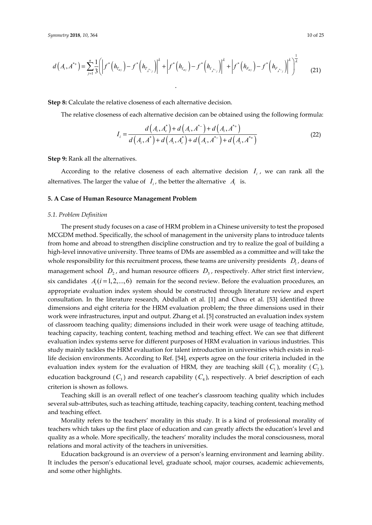$$
d(A_{i}, A^{*+}) = \sum_{j=1}^{n} \frac{1}{3} \left( \left| f^{*}\left(h_{T_{\alpha_{j}}}\right) - f^{*}\left(h_{T_{\alpha_{j}}}\right) \right|^{2} + \left| f^{*}\left(h_{I_{\alpha_{j}}}\right) - f^{*}\left(h_{I_{\alpha_{j}}}\right) \right|^{2} + \left| f^{*}\left(h_{F_{\alpha_{j}}}\right) - f^{*}\left(h_{F_{\alpha_{j}}}\right) \right|^{2} \right)^{\frac{1}{2}}
$$
(21)

.

**Step 8:** Calculate the relative closeness of each alternative decision.

The relative closeness of each alternative decision can be obtained using the following formula:

$$
I_{i} = \frac{d(A_{i}, A_{c}^{*}) + d(A_{i}, A^{*}) + d(A_{i}, A^{*})}{d(A_{i}, A^{*}) + d(A_{i}, A_{c}^{*}) + d(A_{i}, A^{*}) + d(A_{i}, A^{*})}
$$
(22)

**Step 9:** Rank all the alternatives.

According to the relative closeness of each alternative decision  $I_i$ , we can rank all the alternatives. The larger the value of  $I_i$ , the better the alternative  $A_i$  is.

#### **5. A Case of Human Resource Management Problem**

## *5.1. Problem Definition*

The present study focuses on a case of HRM problem in a Chinese university to test the proposed MCGDM method. Specifically, the school of management in the university plans to introduce talents from home and abroad to strengthen discipline construction and try to realize the goal of building a high-level innovative university. Three teams of DMs are assembled as a committee and will take the whole responsibility for this recruitment process, these teams are university presidents  $D_1$ , deans of management school  $D_2$ , and human resource officers  $D_3$ , respectively. After strict first interview, six candidates  $A_i$  ( $i = 1,2,...,6$ ) remain for the second review. Before the evaluation procedures, an appropriate evaluation index system should be constructed through literature review and expert consultation. In the literature research, Abdullah et al. [1] and Chou et al. [53] identified three dimensions and eight criteria for the HRM evaluation problem; the three dimensions used in their work were infrastructures, input and output. Zhang et al. [5] constructed an evaluation index system of classroom teaching quality; dimensions included in their work were usage of teaching attitude, teaching capacity, teaching content, teaching method and teaching effect. We can see that different evaluation index systems serve for different purposes of HRM evaluation in various industries. This study mainly tackles the HRM evaluation for talent introduction in universities which exists in reallife decision environments. According to Ref. [54], experts agree on the four criteria included in the evaluation index system for the evaluation of HRM, they are teaching skill  $(C_1)$ , morality  $(C_2)$ , education background  $(C_3)$  and research capability  $(C_4)$ , respectively. A brief description of each criterion is shown as follows.

Teaching skill is an overall reflect of one teacher's classroom teaching quality which includes several sub-attributes, such as teaching attitude, teaching capacity, teaching content, teaching method and teaching effect.

Morality refers to the teachers' morality in this study. It is a kind of professional morality of teachers which takes up the first place of education and can greatly affects the education's level and quality as a whole. More specifically, the teachers' morality includes the moral consciousness, moral relations and moral activity of the teachers in universities.

Education background is an overview of a person's learning environment and learning ability. It includes the person's educational level, graduate school, major courses, academic achievements, and some other highlights.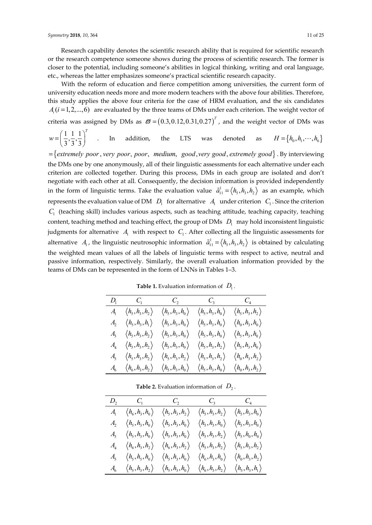Research capability denotes the scientific research ability that is required for scientific research or the research competence someone shows during the process of scientific research. The former is closer to the potential, including someone's abilities in logical thinking, writing and oral language, etc., whereas the latter emphasizes someone's practical scientific research capacity.

With the reform of education and fierce competition among universities, the current form of university education needs more and more modern teachers with the above four abilities. Therefore, this study applies the above four criteria for the case of HRM evaluation, and the six candidates  $A_i$  ( $i = 1, 2, \ldots, 6$ ) are evaluated by the three teams of DMs under each criterion. The weight vector of criteria was assigned by DMs as  $\boldsymbol{\varpi}$  =  $(0.3,0.12,0.31,0.27)^T$ , and the weight vector of DMs was

$$
w = \left(\frac{1}{3}, \frac{1}{3}, \frac{1}{3}\right)^T
$$
 . In addition, the LTS was denoted as  $H = \{h_0, h_1, \dots, h_6\}$ 

= {extremely poor, very poor, poor, medium, good, very good, extremely good}. By interviewing the DMs one by one anonymously, all of their linguistic assessments for each alternative under each criterion are collected together. During this process, DMs in each group are isolated and don't negotiate with each other at all. Consequently, the decision information is provided independently in the form of linguistic terms. Take the evaluation value  $\tilde{a}_{11}^1 = \langle h_5, h_3, h_2 \rangle$  as an example, which represents the evaluation value of DM  $D_1$  for alternative  $A_1$  under criterion  $C_1$ . Since the criterion *C*1 (teaching skill) includes various aspects, such as teaching attitude, teaching capacity, teaching content, teaching method and teaching effect, the group of DMs  $D_1$  may hold inconsistent linguistic judgments for alternative  $A_1$  with respect to  $C_1$ . After collecting all the linguistic assessments for alternative  $A_1$ , the linguistic neutrosophic information  $\tilde{a}_{11}^1 = \langle h_5, h_3, h_2 \rangle$  is obtained by calculating the weighted mean values of all the labels of linguistic terms with respect to active, neutral and passive information, respectively. Similarly, the overall evaluation information provided by the teams of DMs can be represented in the form of LNNs in Tables 1–3.

| $D_1$ $C_1$ $C_2$ $C_3$ $C_4$               |                                       |                                       |                                       |
|---------------------------------------------|---------------------------------------|---------------------------------------|---------------------------------------|
| $A_1 \langle h_5, h_3, h_2 \rangle$         | $\langle h_{5}, h_{3}, h_{0} \rangle$ | $\langle h_{5}, h_{3}, h_{0} \rangle$ | $\langle h_{5}, h_{3}, h_{2} \rangle$ |
| $A, \langle h_{5}, h_{3}, h_{1} \rangle$    | $\langle h_{5}, h_{3}, h_{0} \rangle$ | $\langle h_{5}, h_{3}, h_{0} \rangle$ | $\langle h_{0}, h_{3}, h_{0} \rangle$ |
| $A_3 \langle h_5, h_3, h_2 \rangle$         | $\langle h_{5}, h_{3}, h_{0} \rangle$ | $\langle h_{5}, h_{3}, h_{0} \rangle$ | $\langle h_{5}, h_{3}, h_{0} \rangle$ |
| $A_{4} \langle h_{5}, h_{3}, h_{2} \rangle$ | $\langle h_{5}, h_{3}, h_{0} \rangle$ | $\langle h_{5}, h_{3}, h_{5} \rangle$ | $\langle h_{5}, h_{3}, h_{0} \rangle$ |
| $A_5 \langle h_5, h_3, h_2 \rangle$         | $\langle h_{5}, h_{3}, h_{2} \rangle$ | $\langle h_{5}, h_{3}, h_{5} \rangle$ | $\langle h_{0}, h_{3}, h_{2} \rangle$ |
| $A_6 \langle h_6, h_3, h_2 \rangle$         | $\langle h_5,h_3,h_0\rangle$          | $\langle h_{5}, h_{3}, h_{0} \rangle$ | $\langle h_{0}, h_{3}, h_{2} \rangle$ |

**Table 1.** Evaluation information of  $D_1$ .

**Table 2.** Evaluation information of  $D_2$ .

| $D_2$ $C_1$ $C_2$ $C_3$ $C_4$       |                                       |                                       |                                       |
|-------------------------------------|---------------------------------------|---------------------------------------|---------------------------------------|
| $A_1 \langle h_6, h_3, h_0 \rangle$ | $\langle h_5,h_3,h_2\rangle$          | $\langle h_5,h_3,h_2\rangle$          | $\langle h_{5}, h_{3}, h_{0} \rangle$ |
| $A_2 \langle h_5, h_3, h_0 \rangle$ | $\langle h_{5}, h_{3}, h_{0} \rangle$ | $\langle h_{5}, h_{3}, h_{0}\rangle$  | $\langle h_{5}, h_{3}, h_{0} \rangle$ |
| $A_3 \langle h_5, h_3, h_0 \rangle$ | $\langle h_{5}, h_{3}, h_{0} \rangle$ | $\langle h_{5}, h_{3}, h_{2} \rangle$ | $\langle h_{5}, h_{0}, h_{0}\rangle$  |
| $A_4 \langle h_6, h_3, h_2 \rangle$ | $\langle h_6,h_3,h_2\rangle$          | $\langle h_5,h_3,h_2\rangle$          | $\langle h_5,h_3,h_2\rangle$          |
| $A_5 \langle h_5, h_5, h_0 \rangle$ | $\langle h_{5}, h_{3}, h_{0} \rangle$ | $\langle h_{6}, h_{3}, h_{0} \rangle$ | $\langle h_{0}, h_{3}, h_{2} \rangle$ |
| $A_6 \langle h_5, h_3, h_2 \rangle$ | $\langle h_{5}, h_{3}, h_{0} \rangle$ | $\langle h_{6}, h_{3}, h_{2} \rangle$ | $\langle h_{5}, h_{3}, h_{1} \rangle$ |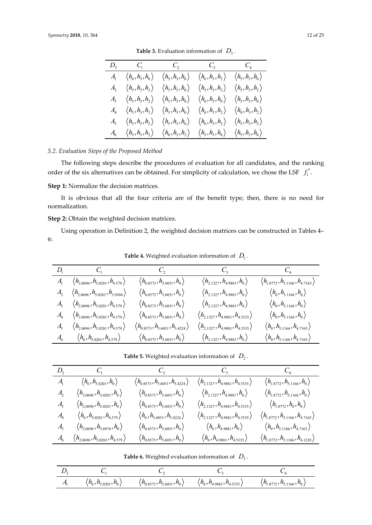| $D_3$ $C_1$ $C_2$ $C_3$ $C_4$       |                                       |                               |                                                        |
|-------------------------------------|---------------------------------------|-------------------------------|--------------------------------------------------------|
| $A_1 \langle h_6, h_3, h_0 \rangle$ | $\langle h_{5}, h_{3}, h_{0} \rangle$ | $\langle h_6,h_3,h_2\rangle$  | $\langle h_{5}, h_{3}, h_{0}\rangle$                   |
| $A_2 \langle h_5, h_3, h_2 \rangle$ | $\langle h_5,h_3,h_0\rangle$          | $\langle h_5,h_3,h_2\rangle$  | $\langle h_5,h_3,h_2\rangle$                           |
| $A_3 \langle h_5, h_3, h_2 \rangle$ | $\langle h_5,h_3,h_0\rangle$          | $\langle h_6,h_3,h_0 \rangle$ | $\langle h_{5}, h_{3}, h_{0}\rangle$                   |
| $A_4 \langle h_5, h_3, h_2 \rangle$ | $\langle h_{5}, h_{3}, h_{0}\rangle$  | $\langle h_6,h_3,h_2\rangle$  | $\left\langle h_{_{0}},h_{_{3}},h_{_{2}}\right\rangle$ |
| $A_5 \langle h_5, h_3, h_2 \rangle$ | $\langle h_{5}, h_{3}, h_{0} \rangle$ | $\langle h_6,h_3,h_2\rangle$  | $\langle h_{5}, h_{3}, h_{2}\rangle$                   |
| $A_6 \langle h_5, h_3, h_2 \rangle$ | $\langle h_{0}, h_{3}, h_{2} \rangle$ | $\langle h_5,h_3,h_0 \rangle$ | $\langle h_5, h_3, h_0 \rangle$                        |

**Table 3.** Evaluation information of  $D_3$ .

# *5.2. Evaluation Steps of the Proposed Method*

The following steps describe the procedures of evaluation for all candidates, and the ranking order of the six alternatives can be obtained. For simplicity of calculation, we chose the LSF  $f_1^*$ .

**Step 1:** Normalize the decision matrices.

It is obvious that all the four criteria are of the benefit type; then, there is no need for normalization.

**Step 2:** Obtain the weighted decision matrices.

Using operation in Definition 2, the weighted decision matrices can be constructed in Tables 4– 6:

**Table 4.** Weighted evaluation information of  $D_1$ .

|                                                          |                                                                 | $D_1$ $C_1$ $C_2$ $C_3$ $C_4$                       |                                                         |
|----------------------------------------------------------|-----------------------------------------------------------------|-----------------------------------------------------|---------------------------------------------------------|
| $A_1 \langle h_{2.0696}, h_{5.0201}, h_{4.579} \rangle$  | $\langle h_{0.8573}, h_{5.6051}, h_{0} \rangle$                 | $\langle h_{2,1327}, h_{4,9881}, h_0 \rangle$       | $\langle h_{1\,8772}, h_{5\,1166}, h_{4\,7165} \rangle$ |
| $A_2 \langle h_{2.0696}, h_{5.0201}, h_{3.9304} \rangle$ | $\langle h_{0.8573}, h_{5.6051}, h_{0} \rangle$                 | $\langle h_{21327}, h_{49881}, h_0 \rangle$         | $\langle h_0, h_{5,1166}, h_0 \rangle$                  |
| $A_3 \langle h_{2.0696}, h_{5.0201}, h_{4.579} \rangle$  | $\langle h_{0.8573}, h_{5.6051}, h_{0} \rangle$                 | $\langle h_{21327}, h_{49881}, h_0 \rangle$         | $\langle h_{0}, h_{5,1166}, h_{0} \rangle$              |
| $A_4 \langle h_{2.0696}, h_{5.0201}, h_{4.579} \rangle$  | $\langle h_{0.8573}, h_{5.6051}, h_{0} \rangle$                 | $\langle h_{21327}, h_{4.9881}, h_{4.5335} \rangle$ | $\langle h_0, h_{5,1166}, h_0 \rangle$                  |
| $A_5 \langle h_{2.0696}, h_{5.0201}, h_{4.579} \rangle$  | $\langle h_{_{0\,8573}}, h_{_{5\,6051}}, h_{_{5\,4224}}\rangle$ | $\langle h_{21327}, h_{4.9881}, h_{4.5335} \rangle$ | $\langle h_0, h_{5,1166}, h_{4,7165} \rangle$           |
| $A_6$ $\langle h_6, h_{5,0201}, h_{4,579} \rangle$       | $\langle h_{0.8573}, h_{5.6051}, h_{0} \rangle$                 | $\langle h_{2,1327}, h_{4,9881}, h_0 \rangle$       | $\langle h_0, h_{5,1166}, h_{4,7165} \rangle$           |

| <b>Table 5.</b> Weighted evaluation information of $D_2$ . |  |
|------------------------------------------------------------|--|
|------------------------------------------------------------|--|

|                |                                                         | $D_2$ $C_1$ $C_2$ $C_3$ $C_4$                        |                                                      |                                                     |
|----------------|---------------------------------------------------------|------------------------------------------------------|------------------------------------------------------|-----------------------------------------------------|
|                | $A_1 \qquad \langle h_6, h_{5,0201}, h_0 \rangle$       | $\langle h_{0.8573}, h_{5.6051}, h_{5.4224} \rangle$ | $\langle h_{2.1327}, h_{4.9881}, h_{4.5335} \rangle$ | $\langle h_{1.8772}, h_{5.1166}, h_0 \rangle$       |
| $A_{\rm{c}}$   | $\langle h_{2.0696}, h_{5.0201}, h_{0} \rangle$         | $\langle h_{0.8573}, h_{5.6051}, h_{0} \rangle$      | $\langle h_{2,1327}, h_{4,9881}, h_0 \rangle$        | $\langle h_{18772}, h_{51166}, h_{0} \rangle$       |
|                | $A_3 \langle h_{2.0696}, h_{5.0201}, h_0 \rangle$       | $\langle h_{0.8573}, h_{5.6051}, h_{0} \rangle$      | $\langle h_{2,1327}, h_{4,9881}, h_{4,5335} \rangle$ | $\langle h_{18772}, h_{0}, h_{0} \rangle$           |
|                | $A_4 \langle h_6, h_{5,0201}, h_{4,579} \rangle$        | $\langle h_6, h_{5,6051}, h_{5,4224} \rangle$        | $\langle h_{21327}, h_{4.9881}, h_{4.5335} \rangle$  | $\langle h_{18772}, h_{51166}, h_{47165} \rangle$   |
| $A_{\epsilon}$ | $\langle h_{2,0696}, h_{5,6974}, h_{0} \rangle$         | $\langle h_{0.8573}, h_{5.6051}, h_{0} \rangle$      | $\langle h_{_6}, h_{_{4\,9881}}, h_{_0} \rangle$     | $\langle h_0, h_{5,1166}, h_{4,7165} \rangle$       |
|                | $A_6 \langle h_{2.0696}, h_{5.0201}, h_{4.579} \rangle$ | $\langle h_{0.8573}, h_{5.6051}, h_{0} \rangle$      | $\langle h_6, h_{4.9881}, h_{4.5335} \rangle$        | $\langle h_{18772}, h_{5.1166}, h_{4.1228} \rangle$ |

**Table 6.** Weighted evaluation information of  $D_3$ .

| A | $\langle$ $h_6$ , $h_{5.0201}$ , $h_0$ $\rangle$ | $\langle h_{0.8573}, h_{5.6051}, h_{0} \rangle$ | $\langle h_6, h_{4.9881}, h_{4.5335} \rangle$ | $\langle h_{1.8772}, h_{5.1166}, h_0 \rangle$ |
|---|--------------------------------------------------|-------------------------------------------------|-----------------------------------------------|-----------------------------------------------|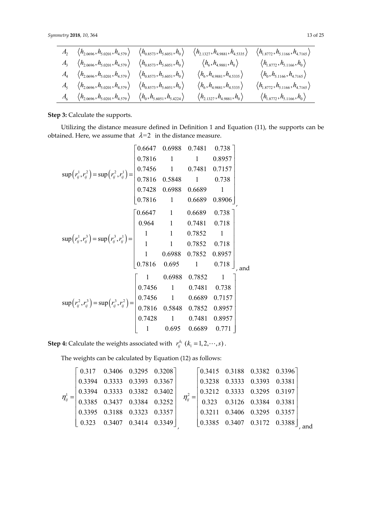| $A_2 \langle h_{2.0696}, h_{5.0201}, h_{4.579} \rangle \langle h_{0.8573}, h_{5.6051}, h_0 \rangle$             |                                                    | $\langle h_{2.1327}, h_{4.9881}, h_{4.5335} \rangle$                                                  | $\langle h_{1.8772}, h_{5.1166}, h_{4.7165} \rangle$             |
|-----------------------------------------------------------------------------------------------------------------|----------------------------------------------------|-------------------------------------------------------------------------------------------------------|------------------------------------------------------------------|
| $A_3 \langle h_{2.0696}, h_{5.0201}, h_{4.579} \rangle$                                                         | $\langle h_{0.8573}, h_{5.6051}, h_{0.85} \rangle$ | $\langle h^{\vphantom{\dagger}}_6, h^{\vphantom{\dagger}}_{4.9881}, h^{\vphantom{\dagger}}_0 \rangle$ | $\langle h_{1.8772}, h_{5.1166}, h_{0} \rangle$                  |
| $A_4 \langle h_{2,0696}, h_{5,0201}, h_{4,579} \rangle \langle h_{0,8573}, h_{5,6051}, h_0 \rangle$             |                                                    | $\langle h_6, h_{4.9881}, h_{4.5335} \rangle$                                                         | $\left\langle h_{_{0}},h_{_{5.1166}},h_{_{4.7165}}\right\rangle$ |
| $A_5 \langle h_{2,0696}, h_{5,0201}, h_{4,579} \rangle \langle h_{0,8573}, h_{5,6051}, h_0 \rangle$             |                                                    | $\langle h_6, h_{4.9881}, h_{4.5335} \rangle$                                                         | $\langle h_{1.8772}, h_{5.1166}, h_{4.7165} \rangle$             |
| $A_6 \quad \langle h_{2.0696}, h_{5.0201}, h_{4.579} \rangle \quad \langle h_0, h_{5.6051}, h_{5.4224} \rangle$ |                                                    | $\langle h_{2,1327}, h_{4,9881}, h_0 \rangle$                                                         | $\langle h_{1.8772}, h_{5.1166}, h_{0} \rangle$                  |

**Step 3: Calculate the supports.** 

Utilizing the distance measure defined in Definition 1 and Equation (11), the supports can be obtained. Here, we assume that  $\lambda=2$  in the distance measure.

$$
\sup(r_{ij}^1, r_{ij}^2) = \sup(r_{ij}^2, r_{ij}^1) = \begin{bmatrix} 0.6647 & 0.6988 & 0.7481 & 0.738 \\ 0.7816 & 1 & 1 & 0.8957 \\ 0.7816 & 1 & 0.7481 & 0.7157 \\ 0.7816 & 0.5848 & 1 & 0.738 \\ 0.7816 & 1 & 0.6689 & 0.8906 \\ 0.7816 & 1 & 0.6689 & 0.8906 \end{bmatrix},
$$

$$
\sup(r_{ij}^1, r_{ij}^3) = \sup(r_{ij}^3, r_{ij}^1) = \begin{bmatrix} 0.6647 & 1 & 0.6689 & 0.8906 \\ 0.964 & 1 & 0.7481 & 0.718 \\ 1 & 1 & 0.7852 & 1 \\ 1 & 1 & 0.7852 & 0.718 \\ 1 & 0.6988 & 0.7852 & 0.8957 \\ 0.7816 & 0.695 & 1 & 0.718 \\ 0.7816 & 0.695 & 1 & 0.718 \end{bmatrix},
$$
and
$$
\sup(r_{ij}^2, r_{ij}^3) = \sup(r_{ij}^3, r_{ij}^2) = \begin{bmatrix} 1 & 0.6988 & 0.7852 & 1 \\ 0.7456 & 1 & 0.7481 & 0.738 \\ 0.7456 & 1 & 0.7481 & 0.738 \\ 0.7816 & 0.5848 & 0.7852 & 0.8957 \\ 0.7816 & 0.5848 & 0.7852 & 0.8957 \\ 0.7428 & 1 & 0.6689 & 0.771 \end{bmatrix}
$$

**Step 4:** Calculate the weights associated with  $r_{ij}^{k_i}$  ( $k_1 = 1, 2, \dots, s$ ).

The weights can be calculated by Equation (12) as follows:

$$
\eta_{ij}^{1} = \begin{bmatrix}\n0.317 & 0.3406 & 0.3295 & 0.3208 \\
0.3394 & 0.3333 & 0.3393 & 0.3367 \\
0.3394 & 0.3333 & 0.3382 & 0.3402 \\
0.3385 & 0.3437 & 0.3384 & 0.3252 \\
0.3395 & 0.3188 & 0.3323 & 0.3357 \\
0.323 & 0.3407 & 0.3414 & 0.3349\n\end{bmatrix}, \quad \eta_{ij}^{2} = \begin{bmatrix}\n0.3415 & 0.3188 & 0.3382 & 0.3396 \\
0.3218 & 0.3333 & 0.3393 & 0.3381 \\
0.3212 & 0.3333 & 0.3295 & 0.3197 \\
0.3211 & 0.3406 & 0.3295 & 0.3357 \\
0.3385 & 0.3407 & 0.3172 & 0.3388\n\end{bmatrix}, \text{ and}
$$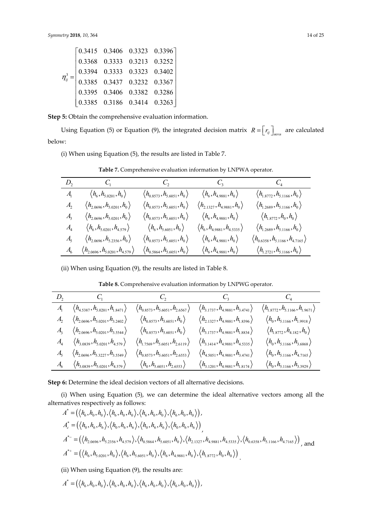|  | $\eta_{ij}^3 = \begin{bmatrix} 0.3415 & 0.3406 & 0.3323 & 0.3396 \\ 0.3368 & 0.3333 & 0.3213 & 0.3252 \\ 0.3394 & 0.3333 & 0.3323 & 0.3402 \\ 0.3385 & 0.3437 & 0.3232 & 0.3367 \\ 0.3395 & 0.3406 & 0.3382 & 0.3286 \\ 0.3385 & 0.3186 & 0.3414 & 0.3263 \end{bmatrix}$ |  |
|--|--------------------------------------------------------------------------------------------------------------------------------------------------------------------------------------------------------------------------------------------------------------------------|--|
|  |                                                                                                                                                                                                                                                                          |  |

**Step 5:** Obtain the comprehensive evaluation information.

Using Equation (5) or Equation (9), the integrated decision matrix  $R = \begin{bmatrix} r_{ij} \end{bmatrix}_{m \times n}$  are calculated below:

(i) When using Equation (5), the results are listed in Table 7.

|                                    | $D_2$ $C_1$ $C_2$ $C_3$ $C_4$                       |                                                            |                                                         |                                                      |
|------------------------------------|-----------------------------------------------------|------------------------------------------------------------|---------------------------------------------------------|------------------------------------------------------|
| $A_{\scriptscriptstyle\perp}$      | $\langle h_{6}, h_{5,0201}, h_{0} \rangle$          | $\langle h_{0.8573}, h_{5.6051}, h_{0} \rangle$            | $\langle h_{\rm 6}, h_{\rm 4\,9881}, h_{\rm 0} \rangle$ | $\langle h_{18772}, h_{51166}, h_{0} \rangle$        |
| $A_{\mathcal{F}}$                  | $\langle h_{2.0696}, h_{5.0201}, h_{0} \rangle$     | $\langle h_{0.8573}, h_{5.6051}, h_{0.8} \rangle$          | $\langle h_{2,1327}, h_{4,9881}, h_0 \rangle$           | $\langle h_{1,2689}, h_{5,1166}, h_0 \rangle$        |
| $A_{\mathfrak{p}}$                 | $\langle h_{2.0696}, h_{5.0201}, h_{0} \rangle$     | $\langle h_{0.8573}, h_{5.6051}, h_{0} \rangle$            | $\langle h_6, h_{4.9881}, h_0 \rangle$                  | $\langle h_{1\,8772}, h_{0}, h_{0} \rangle$          |
| $A_{\scriptscriptstyle\! \Lambda}$ | $\langle h_6, h_{5,0201}, h_{4,579} \rangle$        | $\left\langle h_{_6}, h_{_{5.6051}}, h_{_0} \right\rangle$ | $\langle h_6,h_{4.9881},h_{4.5335} \rangle$             | $\langle h_{1.2689}, h_{5.1166}, h_0 \rangle$        |
| $A_{\varsigma}$                    | $\langle h_{2.0696}, h_{5.2356}, h_{0} \rangle$     | $\langle h_{0.8573}, h_{5.6051}, h_0 \rangle$              | $\langle h_6,h_{4.9881},h_0\rangle$                     | $\langle h_{0.6358}, h_{5.1166}, h_{4.7165} \rangle$ |
| $A_{\epsilon}$                     | $\langle h_{2.0696}, h_{5.0201}, h_{4.579} \rangle$ | $\langle h_{0.5864}, h_{5.6051}, h_{0} \rangle$            | $\langle h_6, h_{4.9881}, h_0 \rangle$                  | $\langle h_{1,2721}, h_{5,1166}, h_0 \rangle$        |

**Table 7.** Comprehensive evaluation information by LNPWA operator.

(ii) When using Equation (9), the results are listed in Table 8.

**Table 8.** Comprehensive evaluation information by LNPWG operator.

| $D_2$ $C_1$ $C_2$ $C_3$ $C_4$                                                                                    |                                                      |                                                      |                                                      |
|------------------------------------------------------------------------------------------------------------------|------------------------------------------------------|------------------------------------------------------|------------------------------------------------------|
| $\langle h_{4.5387}, h_{5.0201}, h_{1.8471} \rangle$                                                             | $\langle h_{0.8573}, h_{5.6051}, h_{2.6567} \rangle$ | $\langle h_{3.1737}, h_{4.9881}, h_{3.4741} \rangle$ | $\langle h_{1.8772}, h_{5.1166}, h_{1.9671} \rangle$ |
| $A_2 \langle h_{2.0696}, h_{5.0201}, h_{3.2402} \rangle$                                                         | $\langle h_{0.8573}, h_{5.6051}, h_{0} \rangle$      | $\langle h_{2,1327}, h_{4,9881}, h_{1,8396} \rangle$ | $\langle h_0, h_{5,1166}, h_{1,9918} \rangle$        |
| $A_3 \langle h_{2.0696}, h_{5.0201}, h_{3.5544} \rangle$                                                         | $\langle h_{0.8573}, h_{5.6051}, h_{0} \rangle$      | $\langle h_{31737}, h_{49881}, h_{18834} \rangle$    | $\langle h_{18772}, h_{4182}, h_{0} \rangle$         |
| $A_4 \langle h_{3.0839}, h_{5.0201}, h_{4.579} \rangle$                                                          | $\langle h_{1.7569}, h_{5.6051}, h_{2.6119} \rangle$ | $\langle h_{3,1414}, h_{4,9881}, h_{4,5335} \rangle$ | $\langle h_0, h_{5,1166}, h_{3,6868} \rangle$        |
| $A_5 \langle h_{2.0696}, h_{5.3227}, h_{3.5549} \rangle$                                                         | $\langle h_{0.8573}, h_{5.6051}, h_{2.6553} \rangle$ | $\langle h_{4.5051}, h_{4.9881}, h_{3.4741} \rangle$ | $\langle h_0, h_{5,1166}, h_{4,7165} \rangle$        |
| $A_6 \quad \langle h_{3.0839}, h_{5.0201}, h_{4.579} \rangle \qquad \langle h_0, h_{5.6051}, h_{2.6553} \rangle$ |                                                      | $\langle h_{3.1201}, h_{4.9881}, h_{1.8174} \rangle$ | $\langle h_0, h_{5,1166}, h_{3,3929} \rangle$        |

Step 6: Determine the ideal decision vectors of all alternative decisions.

(i) When using Equation (5), we can determine the ideal alternative vectors among all the alternatives respectively as follows:

$$
A^* = (\langle h_6, h_0, h_0 \rangle, \langle h_6, h_0, h_0 \rangle, \langle h_6, h_0, h_0 \rangle, \langle h_6, h_0, h_0 \rangle),
$$
  
\n
$$
A_c^* = (\langle h_0, h_6, h_6 \rangle, \langle h_0, h_6, h_6 \rangle, \langle h_0, h_6, h_6 \rangle, \langle h_0, h_6, h_6 \rangle))
$$
  
\n
$$
A^* = = (\langle h_{2,0696}, h_{5,2356}, h_{4,579} \rangle, \langle h_{0,5864}, h_{5,6051}, h_0 \rangle, \langle h_{2,1327}, h_{4,9881}, h_{4,5335} \rangle, \langle h_{0,6358}, h_{5,1166}, h_{4,7165} \rangle)
$$
, and  
\n
$$
A^{*+} = (\langle h_6, h_{5,0201}, h_0 \rangle, \langle h_6, h_{5,6051}, h_0 \rangle, \langle h_6, h_{4,9881}, h_0 \rangle, \langle h_{1,8772}, h_0, h_0 \rangle)
$$

(ii) When using Equation (9), the results are:

 $A^* = (\langle h_6, h_0, h_0 \rangle, \langle h_6, h_0, h_0 \rangle, \langle h_6, h_0, h_0 \rangle, \langle h_6, h_0, h_0 \rangle)$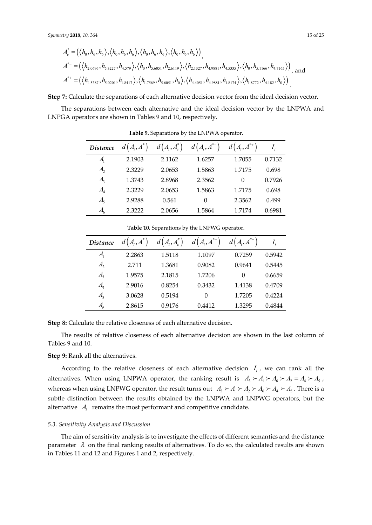$$
A_c^* = (\langle h_0, h_6, h_6 \rangle, \langle h_0, h_6, h_6 \rangle, \langle h_0, h_6, h_6 \rangle, \langle h_0, h_6, h_6 \rangle)
$$
  
\n
$$
A_c^* = (\langle h_{2,0696}, h_{5,3227}, h_{4,579} \rangle, \langle h_0, h_{5,6051}, h_{2,6119} \rangle, \langle h_{2,1327}, h_{4,9881}, h_{4,5335} \rangle, \langle h_0, h_{5,1166}, h_{4,7165} \rangle)
$$
, and  
\n
$$
A_c^{*+} = (\langle h_{4,5387}, h_{5,0201}, h_{1,8417} \rangle, \langle h_{1,7569}, h_{5,6051}, h_0 \rangle, \langle h_{4,4051}, h_{4,9881}, h_{1,8174} \rangle, \langle h_{1,8772}, h_{4,182}, h_0 \rangle)
$$

**Step 7:** Calculate the separations of each alternative decision vector from the ideal decision vector.

The separations between each alternative and the ideal decision vector by the LNPWA and LNPGA operators are shown in Tables 9 and 10, respectively.

| <b>Distance</b>              | $d\big(A_i,A^*$ | $d\left(A_i,A_c^*\right)$ | $d\big(A_i,A^{*-}\big)$ | $d\big(A_i,A^{*+}\big)$ |        |
|------------------------------|-----------------|---------------------------|-------------------------|-------------------------|--------|
| $A_{1}$                      | 2.1903          | 2.1162                    | 1.6257                  | 1.7055                  | 0.7132 |
| $A_{2}$                      | 2.3229          | 2.0653                    | 1.5863                  | 1.7175                  | 0.698  |
| $A_{3}$                      | 1.3743          | 2.8968                    | 2.3562                  | $\Omega$                | 0.7926 |
| A <sub>4</sub>               | 2.3229          | 2.0653                    | 1.5863                  | 1.7175                  | 0.698  |
| $A_{\varsigma}$              | 2.9288          | 0.561                     | 0                       | 2.3562                  | 0.499  |
| $A_{\!\scriptscriptstyle 6}$ | 2.3222          | 2.0656                    | 1.5864                  | 1.7174                  | 0.6981 |

**Table 9.** Separations by the LNPWA operator.

| <i>Distance</i>            | $d(A_i, A^*)$ | $d(A_i, A_c^*)$ | $d\big(A_i,A^{*-}\big)$ | $d(A_i, A^{*+})$ |        |
|----------------------------|---------------|-----------------|-------------------------|------------------|--------|
| $A_{1}$                    | 2.2863        | 1.5118          | 1.1097                  | 0.7259           | 0.5942 |
| $A_{2}$                    | 2.711         | 1.3681          | 0.9082                  | 0.9641           | 0.5445 |
| $A_{\mathfrak{z}}$         | 1.9575        | 2.1815          | 1.7206                  | $\Omega$         | 0.6659 |
| $A_{\scriptscriptstyle 4}$ | 2.9016        | 0.8254          | 0.3432                  | 1.4138           | 0.4709 |
| $A_{\varsigma}$            | 3.0628        | 0.5194          | 0                       | 1.7205           | 0.4224 |
| $A_6$                      | 2.8615        | 0.9176          | 0.4412                  | 1.3295           | 0.4844 |

**Table 10.** Separations by the LNPWG operator.

**Step 8:** Calculate the relative closeness of each alternative decision.

The results of relative closeness of each alternative decision are shown in the last column of Tables 9 and 10.

## **Step 9:** Rank all the alternatives.

According to the relative closeness of each alternative decision  $I_i$ , we can rank all the alternatives. When using LNPWA operator, the ranking result is  $A_3 \succ A_1 \succ A_6 \succ A_2 = A_4 \succ A_5$ , whereas when using LNPWG operator, the result turns out  $A_3 \succ A_1 \succ A_2 \succ A_6 \succ A_4 \succ A_5$ . There is a subtle distinction between the results obtained by the LNPWA and LNPWG operators, but the alternative  $A_3$  remains the most performant and competitive candidate.

## *5.3. Sensitivity Analysis and Discussion*

The aim of sensitivity analysis is to investigate the effects of different semantics and the distance parameter  $\lambda$  on the final ranking results of alternatives. To do so, the calculated results are shown in Tables 11 and 12 and Figures 1 and 2, respectively.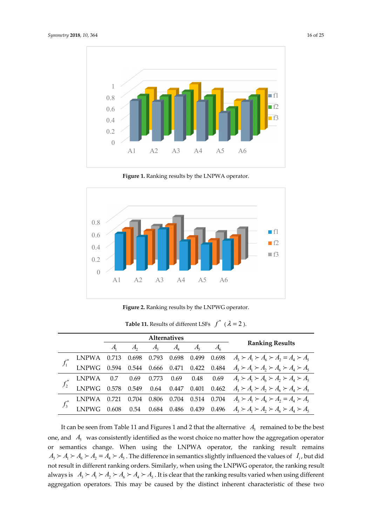

**Figure 1.** Ranking results by the LNPWA operator.



**Figure 2.** Ranking results by the LNPWG operator.

|  |       | <b>Alternatives</b> |       |         |                            |  |  |                                                                                                                                                                                                 |
|--|-------|---------------------|-------|---------|----------------------------|--|--|-------------------------------------------------------------------------------------------------------------------------------------------------------------------------------------------------|
|  |       |                     |       | $A_{1}$ | $A_{\scriptscriptstyle 4}$ |  |  | <b>Ranking Results</b>                                                                                                                                                                          |
|  | LNPWA |                     |       |         |                            |  |  |                                                                                                                                                                                                 |
|  |       |                     |       |         |                            |  |  | 0.713 0.698 0.793 0.698 0.499 0.698 $A_3 \succ A_1 \succ A_6 \succ A_2 = A_4 \succ A_5$<br>0.594 0.544 0.666 0.471 0.422 0.484 $A_3 \succ A_1 \succ A_2 \succ A_6 \succ A_4 \succ A_5$          |
|  | LNPWA |                     |       |         |                            |  |  | LNPWA 0.7 0.69 0.773 0.69 0.48 0.69 $A_3 \succ A_1 \succ A_6 \succ A_2 \succ A_4 \succ A_5$<br>LNPWG 0.578 0.549 0.64 0.447 0.401 0.462 $A_3 \succ A_1 \succ A_2 \succ A_6 \succ A_4 \succ A_5$ |
|  |       |                     |       |         |                            |  |  |                                                                                                                                                                                                 |
|  |       | 0.721               | 0.704 |         |                            |  |  | 0.806 0.704 0.514 0.704 $A_3 \succ A_1 \succ A_6 \succ A_2 = A_4 \succ A_5$                                                                                                                     |
|  |       | 0.608               |       |         |                            |  |  | 0.54 0.684 0.486 0.439 0.496 $A_3 \succ A_1 \succ A_2 \succ A_6 \succ A_4 \succ A_5$                                                                                                            |

**Table 11.** Results of different LSFs  $f^*$  ( $\lambda = 2$ ).

It can be seen from Table 11 and Figures 1 and 2 that the alternative  $A_3$  remained to be the best one, and  $A_5$  was consistently identified as the worst choice no matter how the aggregation operator or semantics change. When using the LNPWA operator, the ranking result remains  $A_3 \succ A_1 \succ A_6 \succ A_2 = A_4 \succ A_5$ . The difference in semantics slightly influenced the values of *I<sub>i</sub>*, but did not result in different ranking orders. Similarly, when using the LNPWG operator, the ranking result always is  $A_3 \succ A_1 \succ A_2 \succ A_6 \succ A_4 \succ A_5$ . It is clear that the ranking results varied when using different aggregation operators. This may be caused by the distinct inherent characteristic of these two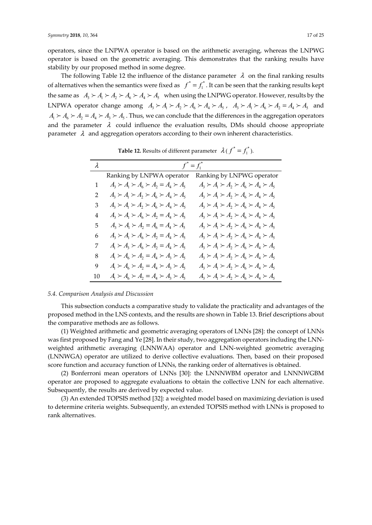operators, since the LNPWA operator is based on the arithmetic averaging, whereas the LNPWG operator is based on the geometric averaging. This demonstrates that the ranking results have stability by our proposed method in some degree.

The following Table 12 the influence of the distance parameter  $\lambda$  on the final ranking results of alternatives when the semantics were fixed as  $f^* = f_1^*$ . It can be seen that the ranking results kept the same as  $A_3 \succ A_1 \succ A_2 \succ A_4 \succ A_3$  when using the LNPWG operator. However, results by the LNPWA operator change among  $A_3 \succ A_1 \succ A_2 \succ A_6 \succ A_4 \succ A_5$ ,  $A_3 \succ A_1 \succ A_6 \succ A_2 = A_4 \succ A_5$  and  $A_1 \succ A_6 \succ A_2 = A_4 \succ A_3 \succ A_5$ . Thus, we can conclude that the differences in the aggregation operators and the parameter  $\lambda$  could influence the evaluation results, DMs should choose appropriate parameter  $\lambda$  and aggregation operators according to their own inherent characteristics.

| $\lambda$ |                                                         | $f^* = f_1^*$                                           |
|-----------|---------------------------------------------------------|---------------------------------------------------------|
|           | Ranking by LNPWA operator                               | Ranking by LNPWG operator                               |
| 1         | $A_3 \succ A_1 \succ A_6 \succ A_2 = A_4 \succ A_5$     | $A_3 \succ A_1 \succ A_2 \succ A_6 \succ A_4 \succ A_5$ |
| 2         | $A_3 \succ A_1 \succ A_2 \succ A_6 \succ A_4 \succ A_5$ | $A_3 \succ A_1 \succ A_2 \succ A_6 \succ A_4 \succ A_5$ |
| 3         | $A_3 \succ A_1 \succ A_2 \succ A_6 \succ A_4 \succ A_5$ | $A_3 \succ A_1 \succ A_2 \succ A_6 \succ A_4 \succ A_5$ |
| 4         | $A_3 \succ A_1 \succ A_6 \succ A_2 = A_4 \succ A_5$     | $A_3 \succ A_1 \succ A_2 \succ A_6 \succ A_4 \succ A_5$ |
| 5         | $A_3 \succ A_1 \succ A_2 = A_6 = A_4 \succ A_5$         | $A_3 \succ A_1 \succ A_2 \succ A_6 \succ A_4 \succ A_5$ |
| 6         | $A_3 \succ A_1 \succ A_6 \succ A_2 = A_4 \succ A_5$     | $A_3 \succ A_1 \succ A_2 \succ A_6 \succ A_4 \succ A_5$ |
| 7         | $A_1 \succ A_3 \succ A_6 \succ A_2 = A_4 \succ A_5$     | $A_3 \succ A_1 \succ A_2 \succ A_6 \succ A_4 \succ A_5$ |
| 8         | $A_1 \succ A_6 \succ A_2 = A_4 \succ A_3 \succ A_5$     | $A_3 \succ A_1 \succ A_2 \succ A_6 \succ A_4 \succ A_5$ |
| 9         | $A_1 \succ A_6 \succ A_2 = A_4 \succ A_3 \succ A_5$     | $A_3 \succ A_1 \succ A_2 \succ A_6 \succ A_4 \succ A_5$ |
| 10        | $A_1 \succ A_6 \succ A_2 = A_4 \succ A_3 \succ A_5$     | $A_3 \succ A_1 \succ A_2 \succ A_6 \succ A_4 \succ A_5$ |

**Table 12.** Results of different parameter  $\lambda(f^* = f_1^*)$ .

## *5.4. Comparison Analysis and Discussion*

This subsection conducts a comparative study to validate the practicality and advantages of the proposed method in the LNS contexts, and the results are shown in Table 13. Brief descriptions about the comparative methods are as follows.

(1) Weighted arithmetic and geometric averaging operators of LNNs [28]: the concept of LNNs was first proposed by Fang and Ye [28]. In their study, two aggregation operators including the LNNweighted arithmetic averaging (LNNWAA) operator and LNN-weighted geometric averaging (LNNWGA) operator are utilized to derive collective evaluations. Then, based on their proposed score function and accuracy function of LNNs, the ranking order of alternatives is obtained.

(2) Bonferroni mean operators of LNNs [30]: the LNNNWBM operator and LNNNWGBM operator are proposed to aggregate evaluations to obtain the collective LNN for each alternative. Subsequently, the results are derived by expected value.

(3) An extended TOPSIS method [32]: a weighted model based on maximizing deviation is used to determine criteria weights. Subsequently, an extended TOPSIS method with LNNs is proposed to rank alternatives.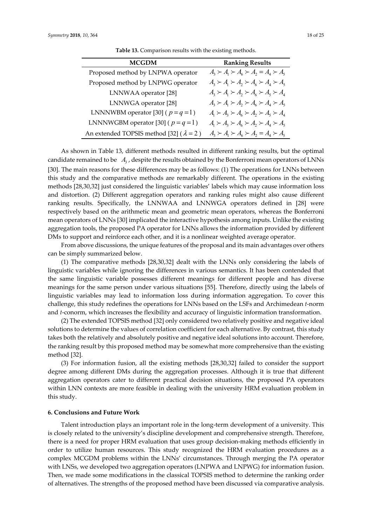| <b>MCGDM</b>                                     | <b>Ranking Results</b>                                  |
|--------------------------------------------------|---------------------------------------------------------|
| Proposed method by LNPWA operator                | $A_3 \succ A_1 \succ A_6 \succ A_2 = A_4 \succ A_5$     |
| Proposed method by LNPWG operator                | $A_3 \succ A_1 \succ A_2 \succ A_6 \succ A_4 \succ A_5$ |
| LNNWAA operator [28]                             | $A_3 \succ A_1 \succ A_2 \succ A_6 \succ A_5 \succ A_4$ |
| LNNWGA operator [28]                             | $A_3 \succ A_1 \succ A_2 \succ A_6 \succ A_4 \succ A_5$ |
| LNNNWBM operator [30] ( $p = q = 1$ )            | $A_1 \succ A_3 \succ A_6 \succ A_2 \succ A_5 \succ A_4$ |
| LNNNWGBM operator [30] ( $p = q = 1$ )           | $A_1 \succ A_3 \succ A_6 \succ A_2 \succ A_4 \succ A_5$ |
| An extended TOPSIS method [32] ( $\lambda = 2$ ) | $A_3 \succ A_1 \succ A_6 \succ A_2 = A_4 \succ A_5$     |

**Table 13.** Comparison results with the existing methods.

As shown in Table 13, different methods resulted in different ranking results, but the optimal candidate remained to be  $A_3$ , despite the results obtained by the Bonferroni mean operators of LNNs [30]. The main reasons for these differences may be as follows: (1) The operations for LNNs between this study and the comparative methods are remarkably different. The operations in the existing methods [28,30,32] just considered the linguistic variables' labels which may cause information loss and distortion. (2) Different aggregation operators and ranking rules might also cause different ranking results. Specifically, the LNNWAA and LNNWGA operators defined in [28] were respectively based on the arithmetic mean and geometric mean operators, whereas the Bonferroni mean operators of LNNs [30] implicated the interactive hypothesis among inputs. Unlike the existing aggregation tools, the proposed PA operator for LNNs allows the information provided by different DMs to support and reinforce each other, and it is a nonlinear weighted average operator.

From above discussions, the unique features of the proposal and its main advantages over others can be simply summarized below.

(1) The comparative methods [28,30,32] dealt with the LNNs only considering the labels of linguistic variables while ignoring the differences in various semantics. It has been contended that the same linguistic variable possesses different meanings for different people and has diverse meanings for the same person under various situations [55]. Therefore, directly using the labels of linguistic variables may lead to information loss during information aggregation. To cover this challenge, this study redefines the operations for LNNs based on the LSFs and Archimedean *t*-norm and *t*-conorm, which increases the flexibility and accuracy of linguistic information transformation.

(2) The extended TOPSIS method [32] only considered two relatively positive and negative ideal solutions to determine the values of correlation coefficient for each alternative. By contrast, this study takes both the relatively and absolutely positive and negative ideal solutions into account. Therefore, the ranking result by this proposed method may be somewhat more comprehensive than the existing method [32].

(3) For information fusion, all the existing methods [28,30,32] failed to consider the support degree among different DMs during the aggregation processes. Although it is true that different aggregation operators cater to different practical decision situations, the proposed PA operators within LNN contexts are more feasible in dealing with the university HRM evaluation problem in this study.

#### **6. Conclusions and Future Work**

Talent introduction plays an important role in the long-term development of a university. This is closely related to the university's discipline development and comprehensive strength. Therefore, there is a need for proper HRM evaluation that uses group decision-making methods efficiently in order to utilize human resources. This study recognized the HRM evaluation procedures as a complex MCGDM problems within the LNNs' circumstances. Through merging the PA operator with LNSs, we developed two aggregation operators (LNPWA and LNPWG) for information fusion. Then, we made some modifications in the classical TOPSIS method to determine the ranking order of alternatives. The strengths of the proposed method have been discussed via comparative analysis.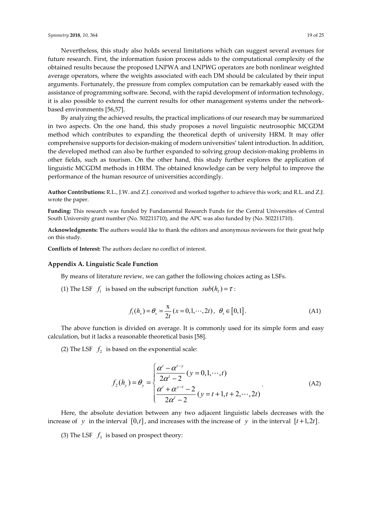Nevertheless, this study also holds several limitations which can suggest several avenues for future research. First, the information fusion process adds to the computational complexity of the obtained results because the proposed LNPWA and LNPWG operators are both nonlinear weighted average operators, where the weights associated with each DM should be calculated by their input arguments. Fortunately, the pressure from complex computation can be remarkably eased with the assistance of programming software. Second, with the rapid development of information technology, it is also possible to extend the current results for other management systems under the networkbased environments [56,57].

By analyzing the achieved results, the practical implications of our research may be summarized in two aspects. On the one hand, this study proposes a novel linguistic neutrosophic MCGDM method which contributes to expanding the theoretical depth of university HRM. It may offer comprehensive supports for decision-making of modern universities' talent introduction. In addition, the developed method can also be further expanded to solving group decision-making problems in other fields, such as tourism. On the other hand, this study further explores the application of linguistic MCGDM methods in HRM. The obtained knowledge can be very helpful to improve the performance of the human resource of universities accordingly.

**Author Contributions:** R.L., J.W. and Z.J. conceived and worked together to achieve this work; and R.L. and Z.J. wrote the paper.

**Funding:** This research was funded by Fundamental Research Funds for the Central Universities of Central South University grant number (No. 502211710), and the APC was also funded by (No. 502211710).

**Acknowledgments: T**he authors would like to thank the editors and anonymous reviewers for their great help on this study.

**Conflicts of Interest:** The authors declare no conflict of interest.

## **Appendix A. Linguistic Scale Function**

By means of literature review, we can gather the following choices acting as LSFs.

(1) The LSF  $f_1$  is based on the subscript function  $sub(h_r) = \tau$ :

$$
f_1(h_x) = \theta_x = \frac{x}{2t} (x = 0, 1, \cdots, 2t), \ \theta_x \in [0, 1].
$$
 (A1)

The above function is divided on average. It is commonly used for its simple form and easy calculation, but it lacks a reasonable theoretical basis [58].

(2) The LSF  $f_2$  is based on the exponential scale:

$$
f_2(h_y) = \theta_y = \begin{cases} \frac{\alpha^t - \alpha^{t-y}}{2\alpha^t - 2} (y = 0, 1, \cdots, t) \\ \frac{\alpha^t + \alpha^{y-t} - 2}{2\alpha^t - 2} (y = t + 1, t + 2, \cdots, 2t) \end{cases}
$$
(A2)

Here, the absolute deviation between any two adjacent linguistic labels decreases with the increase of *y* in the interval  $[0, t]$ , and increases with the increase of *y* in the interval  $[t+1, 2t]$ .

(3) The LSF  $f_3$  is based on prospect theory: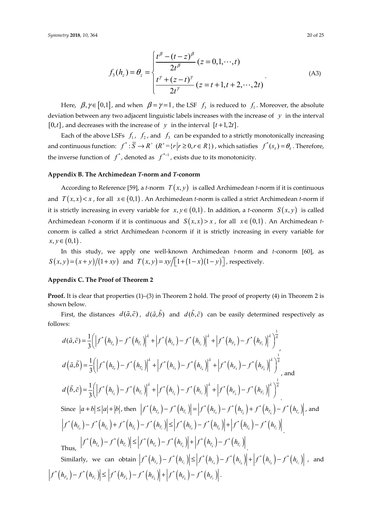$$
f_3(h_z) = \theta_z = \begin{cases} \frac{t^{\beta} - (t - z)^{\beta}}{2t^{\beta}} (z = 0, 1, \cdots, t) \\ \frac{t^{\gamma} + (z - t)^{\gamma}}{2t^{\gamma}} (z = t + 1, t + 2, \cdots, 2t) \end{cases}
$$
(A3)

Here,  $\beta, \gamma \in [0,1]$ , and when  $\beta = \gamma = 1$ , the LSF  $f_3$  is reduced to  $f_1$ . Moreover, the absolute deviation between any two adjacent linguistic labels increases with the increase of *y* in the interval  $[0, t]$ , and decreases with the increase of *y* in the interval  $[t+1, 2t]$ .

Each of the above LSFs  $f_1$ ,  $f_2$ , and  $f_3$  can be expanded to a strictly monotonically increasing and continuous function:  $f^* : \overline{S} \to R^*$   $(R^+ = \{r | r \geq 0, r \in R\})$ , which satisfies  $f^*(s_\tau) = \theta_\tau$ . Therefore, the inverse function of  $f^*$ , denoted as  $f^{*-1}$ , exists due to its monotonicity.

## **Appendix B. The Archimedean** *T***-norm and** *T***-conorm**

According to Reference [59], a *t*-norm  $T(x, y)$  is called Archimedean *t*-norm if it is continuous and  $T(x,x) < x$ , for all  $x \in (0,1)$ . An Archimedean *t*-norm is called a strict Archimedean *t*-norm if it is strictly increasing in every variable for  $x, y \in (0,1)$ . In addition, a *t*-conorm  $S(x, y)$  is called Archimedean *t*-conorm if it is continuous and  $S(x,x) > x$ , for all  $x \in (0,1)$ . An Archimedean *t*conorm is called a strict Archimedean *t*-conorm if it is strictly increasing in every variable for  $x, y \in (0,1)$ .

In this study, we apply one well-known Archimedean *t*-norm and *t*-conorm [60], as  $S(x, y) = (x + y)/(1 + xy)$  and  $T(x, y) = xy/[(1 + (1 - x)(1 - y))]$ , respectively.

## **Appendix C. The Proof of Theorem 2**

**Proof.** It is clear that properties (1)–(3) in Theorem 2 hold. The proof of property (4) in Theorem 2 is shown below.

First, the distances  $d(\tilde{a}, \tilde{c})$ ,  $d(\tilde{a}, \tilde{b})$  and  $d(\tilde{b}, \tilde{c})$  can be easily determined respectively as follows:

$$
d(\tilde{a}, \tilde{c}) = \frac{1}{3} \Biggl( \Biggl| f^* (h_{T_{\tilde{a}}}) - f^* (h_{T_{\tilde{c}}}) \Biggr|^2 + \Biggl| f^* (h_{I_{\tilde{a}}}) - f^* (h_{I_{\tilde{c}}}) \Biggr|^2 + \Biggl| f^* (h_{F_{\tilde{a}}}) - f^* (h_{F_{\tilde{c}}}) \Biggr|^2 \Biggr)^{\frac{1}{2}}
$$
  
\n
$$
d(\tilde{a}, \tilde{b}) = \frac{1}{3} \Biggl( \Biggl| f^* (h_{T_{\tilde{a}}}) - f^* (h_{T_{\tilde{c}}}) \Biggr|^2 + \Biggl| f^* (h_{I_{\tilde{a}}}) - f^* (h_{I_{\tilde{c}}}) \Biggr|^2 + \Biggl| f^* (h_{F_{\tilde{a}}}) - f^* (h_{F_{\tilde{c}}}) \Biggr|^2 \Biggr)^{\frac{1}{2}},
$$
and  
\n
$$
d(\tilde{b}, \tilde{c}) = \frac{1}{3} \Biggl( \Biggl| f^* (h_{T_{\tilde{b}}}) - f^* (h_{T_{\tilde{c}}}) \Biggr|^2 + \Biggl| f^* (h_{I_{\tilde{c}}}) - f^* (h_{I_{\tilde{c}}}) \Biggr|^2 + \Biggl| f^* (h_{F_{\tilde{b}}}) - f^* (h_{F_{\tilde{c}}}) \Biggr|^2 \Biggr)^{\frac{1}{2}}
$$
  
\nSince  $|a + b| \le |a| + |b|$ , then  $|f^* (h_{T_{\tilde{a}}}) - f^* (h_{T_{\tilde{c}}})| = |f^* (h_{T_{\tilde{a}}}) - f^* (h_{T_{\tilde{b}}}) + f^* (h_{T_{\tilde{b}}}) - f^* (h_{T_{\tilde{c}}}) \Biggr|^2$   
\n $|f^* (h_{T_{\tilde{a}}}) - f^* (h_{T_{\tilde{b}}}) + f^* (h_{T_{\tilde{c}}}) - f^* (h_{T_{\tilde{c}}})| \le |f^* (h_{T_{\tilde{a}}}) - f^* (h_{T_{\tilde{b}}})| + |f^* (h_{T_{\tilde{b}}}) - f^* ($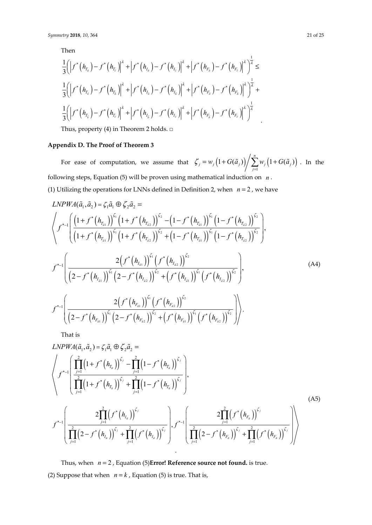Then

$$
\frac{1}{3} \Biggl( \Bigl| f^{*} (h_{T_{a}}) - f^{*} (h_{T_{c}}) \Bigr|^{2} + \Bigl| f^{*} (h_{I_{a}}) - f^{*} (h_{I_{c}}) \Bigr|^{2} + \Bigl| f^{*} (h_{F_{a}}) - f^{*} (h_{F_{c}}) \Bigr|^{2} \Bigr)^{\frac{1}{2}} \le
$$
\n
$$
\frac{1}{3} \Biggl( \Bigl| f^{*} (h_{T_{a}}) - f^{*} (h_{T_{b}}) \Bigr|^{2} + \Bigl| f^{*} (h_{I_{a}}) - f^{*} (h_{I_{b}}) \Bigr|^{2} + \Bigl| f^{*} (h_{F_{a}}) - f^{*} (h_{F_{b}}) \Bigr|^{2} \Bigr)^{\frac{1}{2}} + \frac{1}{3} \Biggl( \Bigl| f^{*} (h_{T_{b}}) - f^{*} (h_{T_{c}}) \Bigr|^{2} + \Bigl| f^{*} (h_{I_{b}}) - f^{*} (h_{I_{c}}) \Bigr|^{2} + \Bigl| f^{*} (h_{F_{b}}) - f^{*} (h_{F_{c}}) \Bigr|^{2} \Bigr)^{\frac{1}{2}}.
$$

Thus, property (4) in Theorem 2 holds. □

# **Appendix D. The Proof of Theorem 3**

For ease of computation, we assume that  $\zeta_i = w_i(1 + G(\tilde{a}_i))/\sum w_i(1 + G(\tilde{a}_i))$ 1  $\left(1+G(\tilde{a}_{i})\right)\bigg/\sum_{i=1}^{n}w_{i}\left(1+G(\tilde{a}_{i})\right)$  $\frac{1}{j} = w_j (1 + O(u_j)) / \sum_{j=1}^{w_j} \frac{1}{j} + O(u_j)$  $\zeta_i = w_i(1+G(\tilde{a}_i))/\sum w_i(1+G(\tilde{a}_i))$  $= w_j \left(1 + G(\tilde{a}_j)\right) / \sum_{j=1} w_j \left(1 + G(\tilde{a}_j)\right)$ . In the following steps, Equation (5) will be proven using mathematical induction on *n* . (1) Utilizing the operations for LNNs defined in Definition 2, when  $n = 2$ , we have

$$
LNPWA(\tilde{a}_{1}, \tilde{a}_{2}) = \zeta_{1}\tilde{a}_{1} \oplus \zeta_{2}\tilde{a}_{2} =
$$
\n
$$
\left\langle f^{*-1}\left(\frac{\left(1+f^{*}\left(h_{T_{a1}}\right)\right)^{\zeta_{1}}\left(1+f^{*}\left(h_{T_{a2}}\right)\right)^{\zeta_{2}}-1\left(1-f^{*}\left(h_{T_{a1}}\right)\right)^{\zeta_{1}}\left(1-f^{*}\left(h_{T_{a2}}\right)\right)^{\zeta_{2}}}{\left(1+f^{*}\left(h_{T_{a1}}\right)\right)^{\zeta_{1}}\left(1+f^{*}\left(h_{T_{a2}}\right)\right)^{\zeta_{2}}+1\left(1-f^{*}\left(h_{T_{a1}}\right)\right)^{\zeta_{1}}\left(1-f^{*}\left(h_{T_{a2}}\right)\right)^{\zeta_{2}}}\right)},
$$
\n
$$
f^{*-1}\left(\frac{2\left(f^{*}\left(h_{I_{a1}}\right)\right)^{\zeta_{1}}\left(f^{*}\left(h_{I_{a2}}\right)\right)^{\zeta_{2}}}{\left(2-f^{*}\left(h_{I_{a1}}\right)\right)^{\zeta_{1}}\left(2-f^{*}\left(h_{I_{a2}}\right)\right)^{\zeta_{2}}+1\left(f^{*}\left(h_{I_{a2}}\right)\right)^{\zeta_{2}}}\right),
$$
\n(A4)\n
$$
f^{*-1}\left(\frac{2\left(f^{*}\left(h_{F_{a1}}\right)\right)^{\zeta_{1}}\left(f^{*}\left(h_{F_{a2}}\right)\right)^{\zeta_{2}}}{\left(2-f^{*}\left(h_{F_{a1}}\right)\right)^{\zeta_{1}}\left(2-f^{*}\left(h_{F_{a2}}\right)\right)^{\zeta_{2}}+1\left(f^{*}\left(h_{F_{a1}}\right)\right)^{\zeta_{1}}\left(f^{*}\left(h_{F_{a2}}\right)\right)^{\zeta_{2}}}\right),
$$
\n(A5)

That is

$$
LNPWA(\tilde{a}_{1}, \tilde{a}_{2}) = \zeta_{1}\tilde{a}_{1} \oplus \zeta_{2}\tilde{a}_{2} =
$$
\n
$$
\left\langle f^{*-1} \left( \prod_{j=1}^{2} (1 + f^{*} (h_{T_{\tilde{a}}}))^{\zeta_{j}} - \prod_{j=1}^{2} (1 - f^{*} (h_{T_{\tilde{a}}}))^{\zeta_{j}} \right) \right\rangle,
$$
\n
$$
f^{*-1} \left( \prod_{j=1}^{2} (1 + f^{*} (h_{T_{\tilde{a}}}))^{\zeta_{j}} + \prod_{j=1}^{2} (1 - f^{*} (h_{T_{\tilde{a}}}))^{\zeta_{j}} \right),
$$
\n
$$
f^{*-1} \left( \frac{2 \prod_{j=1}^{2} (f^{*} (h_{I_{\tilde{a}}}))^{\zeta_{j}}}{\prod_{j=1}^{2} (2 - f^{*} (h_{I_{\tilde{a}}}))^{\zeta_{j}} + \prod_{j=1}^{2} (f^{*} (h_{I_{\tilde{a}}}))^{\zeta_{j}}} \right), f^{*-1} \left( \frac{2 \prod_{j=1}^{2} (f^{*} (h_{F_{\tilde{a}}}))^{\zeta_{j}}}{\prod_{j=1}^{2} (2 - f^{*} (h_{F_{\tilde{a}}}))^{\zeta_{j}} + \prod_{j=1}^{2} (f^{*} (h_{F_{\tilde{a}}}))^{\zeta_{j}}} \right) \right\rangle
$$
\n(A5)

Thus, when  $n = 2$ , Equation (5)**Error! Reference source not found.** is true. (2) Suppose that when  $n = k$ , Equation (5) is true. That is,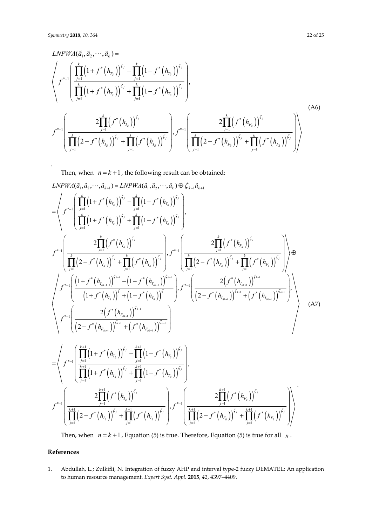.

$$
LNPWA(\tilde{a}_{1}, \tilde{a}_{2}, \cdots, \tilde{a}_{k}) = \left\langle f^{*-1} \left( \prod_{j=1}^{k} (1 + f^{*}(h_{T_{\tilde{a}}}) )^{\zeta_{j}} - \prod_{j=1}^{k} (1 - f^{*}(h_{T_{\tilde{a}}}) )^{\zeta_{j}} \right) \right\rangle
$$
\n
$$
f^{*-1} \left( \prod_{j=1}^{k} (1 + f^{*}(h_{T_{\tilde{a}}}) )^{\zeta_{j}} + \prod_{j=1}^{k} (1 - f^{*}(h_{T_{\tilde{a}}}) )^{\zeta_{j}} \right\rangle,
$$
\n
$$
f^{*-1} \left( \frac{2 \prod_{j=1}^{k} (f^{*}(h_{I_{\tilde{a}}}) )^{\zeta_{j}}}{\prod_{j=1}^{k} (2 - f^{*}(h_{I_{\tilde{a}}}) )^{\zeta_{j}} + \prod_{j=1}^{k} (f^{*}(h_{I_{\tilde{a}}}) )^{\zeta_{j}} \right\rangle}, f^{*-1} \left( \frac{2 \prod_{j=1}^{k} (f^{*}(h_{F_{\tilde{a}}}) )^{\zeta_{j}}}{\prod_{j=1}^{k} (2 - f^{*}(h_{F_{\tilde{a}}}) )^{\zeta_{j}} + \prod_{j=1}^{k} (f^{*}(h_{F_{\tilde{a}}}) )^{\zeta_{j}} \right\rangle
$$
\n(A6)

Then, when  $n = k + 1$ , the following result can be obtained:

$$
LNPWA(\tilde{a}_{1},\tilde{a}_{2},\cdots,\tilde{a}_{k+1})=LNPWA(\tilde{a}_{1},\tilde{a}_{2},\cdots,\tilde{a}_{k})\oplus \zeta_{k+1}\tilde{a}_{k+1}
$$
\n
$$
=\left\langle f^{*-1}\left(\prod_{j=1}^{k}\left(1+f^{*}\left(h_{\tilde{a}_{j}}\right)\right)^{\zeta_{j}}-\prod_{j=1}^{k}\left(1-f^{*}\left(h_{\tilde{a}_{j}}\right)\right)^{\zeta_{j}}\right), \\ f^{*-1}\left(\frac{2\prod_{j=1}^{k}\left(f^{*}\left(h_{\tilde{a}_{j}}\right)\right)^{\zeta_{j}}+\prod_{j=1}^{k}\left(f^{*}\left(h_{\tilde{a}_{j}}\right)\right)^{\zeta_{j}}}{\prod_{j=1}^{k}\left(2-f^{*}\left(h_{\tilde{a}_{j}}\right)\right)^{\zeta_{j}}+\prod_{j=1}^{k}\left(f^{*}\left(h_{\tilde{a}_{j}}\right)\right)^{\zeta_{j}}}\right), \\ f^{*-1}\left(\frac{2\prod_{j=1}^{k}\left(f^{*}\left(h_{\tilde{a}_{j}}\right)\right)^{\zeta_{j}}+\prod_{j=1}^{k}\left(f^{*}\left(h_{\tilde{a}_{j}}\right)\right)^{\zeta_{j}}}{\left(1+f^{*}\left(h_{\tilde{a}_{k+1}}\right)\right)^{\zeta_{k+1}}-\left(1-f^{*}\left(h_{\tilde{a}_{k+1}}\right)\right)^{\zeta_{k+1}}}\right), \\ f^{*-1}\left(\frac{\left(1+f^{*}\left(h_{\tilde{a}_{k+1}}\right)\right)^{\zeta_{k+1}}-\left(1-f^{*}\left(h_{\tilde{a}_{k+1}}\right)^{\zeta_{k+1}}}{\left(1+f^{*}\left(h_{\tilde{a}_{k+1}}\right)\right)^{\zeta_{k+1}}+\left(f^{*}\left(h_{\tilde{a}_{k+1}}\right)\right)^{\zeta_{k+1}}}\right), \\ f^{*-1}\left(\frac{2\left(f^{*}\left(h_{\tilde{a}_{k+1}}\right)\right)^{\zeta_{k+1}}}{\left(2-f^{*}\left(h_{\tilde{a}_{k+1}}\right)\right)^{\zeta_{k+1}}+\left(f^{*}\left(h_{\tilde{a}_{k+1}}\right)^{\zeta_{k+1}}
$$

Then, when  $n = k + 1$ , Equation (5) is true. Therefore, Equation (5) is true for all *n*.

# **References**

1. Abdullah, L.; Zulkifli, N. Integration of fuzzy AHP and interval type-2 fuzzy DEMATEL: An application to human resource management. *Expert Syst. Appl.* **2015**, *42*, 4397–4409.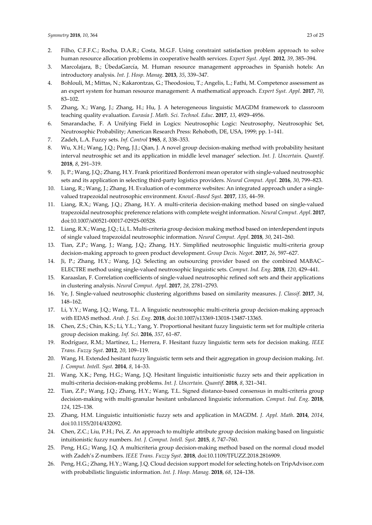- 2. Filho, C.F.F.C.; Rocha, D.A.R.; Costa, M.G.F. Using constraint satisfaction problem approach to solve human resource allocation problems in cooperative health services. *Expert Syst. Appl.* **2012**, *39*, 385–394.
- 3. Marcolajara, B.; ÚbedaGarcía, M. Human resource management approaches in Spanish hotels: An introductory analysis. *Int. J. Hosp. Manag*. **2013**, *35*, 339–347.
- 4. Bohlouli, M.; Mittas, N.; Kakarontzas, G.; Theodosiou, T.; Angelis, L.; Fathi, M. Competence assessment as an expert system for human resource management: A mathematical approach. *Expert Syst. Appl.* **2017**, *70*, 83–102.
- 5. Zhang, X.; Wang, J.; Zhang, H.; Hu, J. A heterogeneous linguistic MAGDM framework to classroom teaching quality evaluation. *Eurasia J. Math. Sci. Technol. Educ*. **2017**, *13*, 4929–4956.
- 6. Smarandache, F. A Unifying Field in Logics: Neutrosophic Logic: Neutrosophy, Neutrosophic Set, Neutrosophic Probability; American Research Press: Rehoboth, DE, USA, 1999; pp. 1–141.
- 7. Zadeh, L.A. Fuzzy sets. *Inf. Control* **1965**, *8*, 338–353.
- 8. Wu, X.H.; Wang, J.Q.; Peng, J.J.; Qian, J. A novel group decision-making method with probability hesitant interval neutrosphic set and its application in middle level manager' selection. *Int. J. Uncertain. Quantif*. **2018**, *8*, 291–319.
- 9. Ji, P.; Wang, J.Q.; Zhang, H.Y. Frank prioritized Bonferroni mean operator with single-valued neutrosophic sets and its application in selecting third-party logistics providers. *Neural Comput. Appl*. **2016**, *30*, 799–823.
- 10. Liang, R.; Wang, J.; Zhang, H. Evaluation of e-commerce websites: An integrated approach under a singlevalued trapezoidal neutrosophic environment. *Knowl.-Based Syst*. **2017**, *135*, 44–59.
- 11. Liang, R.X.; Wang, J.Q.; Zhang, H.Y. A multi-criteria decision-making method based on single-valued trapezoidal neutrosophic preference relations with complete weight information. *Neural Comput. Appl*. **2017**, doi:10.1007/s00521-00017-02925-00528.
- 12. Liang, R.X.; Wang, J.Q.; Li, L. Multi-criteria group decision making method based on interdependent inputs of single valued trapezoidal neutrosophic information. *Neural Comput. Appl*. **2018**, *30*, 241–260.
- 13. Tian, Z.P.; Wang, J.; Wang, J.Q.; Zhang, H.Y. Simplified neutrosophic linguistic multi-criteria group decision-making approach to green product development. *Group Decis. Negot*. **2017**, *26*, 597–627.
- 14. Ji, P.; Zhang, H.Y.; Wang, J.Q. Selecting an outsourcing provider based on the combined MABAC– ELECTRE method using single-valued neutrosophic linguistic sets. *Comput. Ind. Eng*. **2018**, *120*, 429–441.
- 15. Karaaslan, F. Correlation coefficients of single-valued neutrosophic refined soft sets and their applications in clustering analysis. *Neural Comput. Appl*. **2017**, *28*, 2781–2793.
- 16. Ye, J. Single-valued neutrosophic clustering algorithms based on similarity measures. *J. Classif*. **2017**, *34*, 148–162.
- 17. Li, Y.Y.; Wang, J.Q.; Wang, T.L. A linguistic neutrosophic multi-criteria group decision-making approach with EDAS method. *Arab. J. Sci. Eng*. **2018**, doi:10.1007/s13369-13018-13487-13365.
- 18. Chen, Z.S.; Chin, K.S.; Li, Y.L.; Yang, Y. Proportional hesitant fuzzy linguistic term set for multiple criteria group decision making. *Inf. Sci*. **2016**, *357*, 61–87.
- 19. Rodríguez, R.M.; Martínez, L.; Herrera, F. Hesitant fuzzy linguistic term sets for decision making. *IEEE Trans. Fuzzy Syst*. **2012**, *20*, 109–119.
- 20. Wang, H. Extended hesitant fuzzy linguistic term sets and their aggregation in group decision making. *Int. J. Comput. Intell. Syst*. **2014**, *8*, 14–33.
- 21. Wang, X.K.; Peng, H.G.; Wang, J.Q. Hesitant linguistic intuitionistic fuzzy sets and their application in multi-criteria decision-making problems. *Int. J. Uncertain. Quantif*. **2018**, *8*, 321–341.
- 22. Tian, Z.P.; Wang, J.Q.; Zhang, H.Y.; Wang, T.L. Signed distance-based consensus in multi-criteria group decision-making with multi-granular hesitant unbalanced linguistic information. *Comput. Ind. Eng*. **2018**, *124*, 125–138.
- 23. Zhang, H.M. Linguistic intuitionistic fuzzy sets and application in MAGDM. *J. Appl. Math*. **2014**, *2014*, doi:10.1155/2014/432092.
- 24. Chen, Z.C.; Liu, P.H.; Pei, Z. An approach to multiple attribute group decision making based on linguistic intuitionistic fuzzy numbers. *Int. J. Comput. Intell. Syst*. **2015**, *8*, 747–760.
- 25. Peng, H.G.; Wang, J.Q. A multicriteria group decision-making method based on the normal cloud model with Zadeh's Z-numbers. *IEEE Trans. Fuzzy Syst*. **2018**, doi:10.1109/TFUZZ.2018.2816909.
- 26. Peng, H.G.; Zhang, H.Y.; Wang, J.Q. Cloud decision support model for selecting hotels on TripAdvisor.com with probabilistic linguistic information. *Int. J. Hosp. Manag.* **2018**, *68*, 124–138.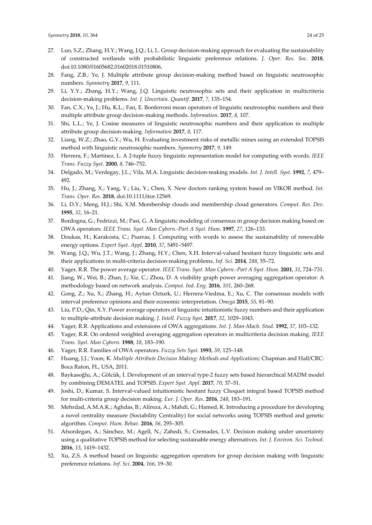- 27. Luo, S.Z.; Zhang, H.Y.; Wang, J.Q.; Li, L. Group decision-making approach for evaluating the sustainability of constructed wetlands with probabilistic linguistic preference relations. *J. Oper. Res. Soc*. **2018**, doi:10.1080/01605682.01602018.01510806.
- 28. Fang, Z.B.; Ye, J. Multiple attribute group decision-making method based on linguistic neutrosophic numbers. *Symmetry* **2017**, *9*, 111.
- 29. Li, Y.Y.; Zhang, H.Y.; Wang, J.Q. Linguistic neutrosophic sets and their application in multicriteria decision-making problems. *Int. J. Uncertain. Quantif*. **2017**, *7*, 135–154.
- 30. Fan, C.X.; Ye, J.; Hu, K.L.; Fan, E. Bonferroni mean operators of linguistic neutrosophic numbers and their multiple attribute group decision-making methods. *Information*. **2017**, *8*, 107.
- 31. Shi, L.L.; Ye, J. Cosine measures of linguistic neutrosophic numbers and their application in multiple attribute group decision-making. *Information* **2017**, *8*, 117.
- 32. Liang, W.Z.; Zhao, G.Y.; Wu, H. Evaluating investment risks of metallic mines using an extended TOPSIS method with linguistic neutrosophic numbers. *Symmetry* **2017**, *9*, 149.
- 33. Herrera, F.; Martínez, L. A 2-tuple fuzzy linguistic representation model for computing with words. *IEEE Trans. Fuzzy Syst*. **2000**, *8*, 746–752.
- 34. Delgado, M.; Verdegay, J.L.; Vila, M.A. Linguistic decision-making models. *Int. J. Intell. Syst*. **1992**, *7*, 479– 492.
- 35. Hu, J.; Zhang, X.; Yang, Y.; Liu, Y.; Chen, X. New doctors ranking system based on VIKOR method. *Int. Trans. Oper. Res*. **2018**, doi:10.1111/itor.12569.
- 36. Li, D.Y.; Meng, H.J.; Shi, X.M. Membership clouds and membership cloud generators. *Comput. Res. Dev*. **1995**, *32*, 16–21.
- 37. Bordogna, G.; Fedrizzi, M.; Pasi, G. A linguistic modeling of consensus in group decision making based on OWA operators. *IEEE Trans. Syst. Man Cybern.-Part A Syst. Hum*. **1997**, *27*, 126–133.
- 38. Doukas, H.; Karakosta, C.; Psarras, J. Computing with words to assess the sustainability of renewable energy options. *Expert Syst. Appl*. **2010**, *37*, 5491–5497.
- 39. Wang, J.Q.; Wu, J.T.; Wang, J.; Zhang, H.Y.; Chen, X.H. Interval-valued hesitant fuzzy linguistic sets and their applications in multi-criteria decision-making problems. *Inf. Sci*. **2014**, *288*, 55–72.
- 40. Yager, R.R. The power average operator. *IEEE Trans. Syst. Man Cybern.-Part A Syst. Hum*. **2001**, *31*, 724–731.
- 41. Jiang, W.; Wei, B.; Zhan, J.; Xie, C.; Zhou, D. A visibility graph power averaging aggregation operator: A methodology based on network analysis. *Comput. Ind. Eng*. **2016**, *101*, 260–268.
- 42. Gong, Z.; Xu, X.; Zhang, H.; Aytun Ozturk, U.; Herrera-Viedma, E.; Xu, C. The consensus models with interval preference opinions and their economic interpretation. *Omega* **2015**, *55*, 81–90.
- 43. Liu, P.D.; Qin, X.Y. Power average operators of linguistic intuitionistic fuzzy numbers and their application to multiple-attribute decision making. *J. Intell. Fuzzy Syst*. **2017**, *32*, 1029–1043.
- 44. Yager, R.R. Applications and extensions of OWA aggregations. *Int. J. Man-Mach. Stud*. **1992**, *37*, 103–132.
- 45. Yager, R.R. On ordered weighted averaging aggregation operators in multicriteria decision making. *IEEE Trans. Syst. Man Cybern.* **1988**, *18*, 183–190.
- 46. Yager, R.R. Families of OWA operators. *Fuzzy Sets Syst.* **1993**, *59*, 125–148.
- 47. Huang, J.J.; Yoon, K. *Multiple Attribute Decision Making: Methods and Applications;* Chapman and Hall/CRC: Boca Raton, FL, USA, 2011.
- 48. Baykasoğlu, A.; Gölcük, İ. Development of an interval type-2 fuzzy sets based hierarchical MADM model by combining DEMATEL and TOPSIS. *Expert Syst. Appl*. **2017**, *70*, 37–51.
- 49. Joshi, D.; Kumar, S. Interval-valued intuitionistic hesitant fuzzy Choquet integral based TOPSIS method for multi-criteria group decision making. *Eur. J. Oper. Res*. **2016**, *248*, 183–191.
- 50. Mehrdad, A.M.A.K.; Aghdas, B.; Alireza, A.; Mahdi, G.; Hamed, K. Introducing a procedure for developing a novel centrality measure (Sociability Centrality) for social networks using TOPSIS method and genetic algorithm. *Comput. Hum. Behav*. **2016**, *56*, 295–305.
- 51. Afsordegan, A.; Sánchez, M.; Agell, N.; Zahedi, S.; Cremades, L.V. Decision making under uncertainty using a qualitative TOPSIS method for selecting sustainable energy alternatives. *Int. J. Environ. Sci. Technol*. **2016**, *13*, 1419–1432.
- 52. Xu, Z.S. A method based on linguistic aggregation operators for group decision making with linguistic preference relations. *Inf. Sci*. **2004**, *166*, 19–30.